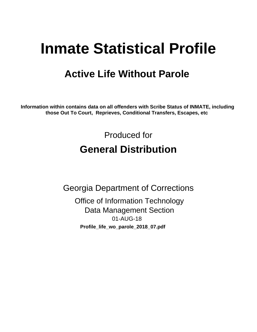# **Inmate Statistical Profile**

## **Active Life Without Parole**

Information within contains data on all offenders with Scribe Status of INMATE, including those Out To Court, Reprieves, Conditional Transfers, Escapes, etc

> Produced for **General Distribution**

**Georgia Department of Corrections Office of Information Technology Data Management Section** 01-AUG-18 Profile\_life\_wo\_parole\_2018\_07.pdf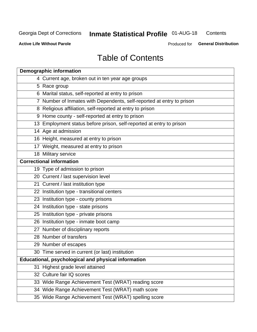#### **Inmate Statistical Profile 01-AUG-18** Contents

**Active Life Without Parole** 

Produced for General Distribution

## **Table of Contents**

|    | <b>Demographic information</b>                                        |
|----|-----------------------------------------------------------------------|
|    | 4 Current age, broken out in ten year age groups                      |
|    | 5 Race group                                                          |
|    | 6 Marital status, self-reported at entry to prison                    |
|    | 7 Number of Inmates with Dependents, self-reported at entry to prison |
|    | 8 Religious affiliation, self-reported at entry to prison             |
|    | 9 Home county - self-reported at entry to prison                      |
|    | 13 Employment status before prison, self-reported at entry to prison  |
|    | 14 Age at admission                                                   |
|    | 16 Height, measured at entry to prison                                |
|    | 17 Weight, measured at entry to prison                                |
|    | 18 Military service                                                   |
|    | <b>Correctional information</b>                                       |
|    | 19 Type of admission to prison                                        |
|    | 20 Current / last supervision level                                   |
|    | 21 Current / last institution type                                    |
|    | 22 Institution type - transitional centers                            |
|    | 23 Institution type - county prisons                                  |
|    | 24 Institution type - state prisons                                   |
|    | 25 Institution type - private prisons                                 |
|    | 26 Institution type - inmate boot camp                                |
|    | 27 Number of disciplinary reports                                     |
|    | 28 Number of transfers                                                |
|    | 29 Number of escapes                                                  |
|    | 30 Time served in current (or last) institution                       |
|    | Educational, psychological and physical information                   |
| 31 | Highest grade level attained                                          |
|    | 32 Culture fair IQ scores                                             |
|    | 33 Wide Range Achievement Test (WRAT) reading score                   |
|    | 34 Wide Range Achievement Test (WRAT) math score                      |
|    | 35 Wide Range Achievement Test (WRAT) spelling score                  |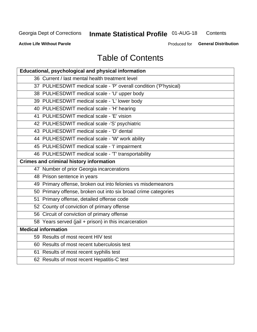#### **Inmate Statistical Profile 01-AUG-18** Contents

**Active Life Without Parole** 

Produced for General Distribution

## **Table of Contents**

| Educational, psychological and physical information              |
|------------------------------------------------------------------|
| 36 Current / last mental health treatment level                  |
| 37 PULHESDWIT medical scale - 'P' overall condition ('P'hysical) |
| 38 PULHESDWIT medical scale - 'U' upper body                     |
| 39 PULHESDWIT medical scale - 'L' lower body                     |
| 40 PULHESDWIT medical scale - 'H' hearing                        |
| 41 PULHESDWIT medical scale - 'E' vision                         |
| 42 PULHESDWIT medical scale -'S' psychiatric                     |
| 43 PULHESDWIT medical scale - 'D' dental                         |
| 44 PULHESDWIT medical scale - 'W' work ability                   |
| 45 PULHESDWIT medical scale - 'I' impairment                     |
| 46 PULHESDWIT medical scale - 'T' transportability               |
| <b>Crimes and criminal history information</b>                   |
| 47 Number of prior Georgia incarcerations                        |
| 48 Prison sentence in years                                      |
| 49 Primary offense, broken out into felonies vs misdemeanors     |
| 50 Primary offense, broken out into six broad crime categories   |
| 51 Primary offense, detailed offense code                        |
| 52 County of conviction of primary offense                       |
| 56 Circuit of conviction of primary offense                      |
| 58 Years served (jail + prison) in this incarceration            |
| <b>Medical information</b>                                       |
| 59 Results of most recent HIV test                               |
| 60 Results of most recent tuberculosis test                      |
| 61 Results of most recent syphilis test                          |
| 62 Results of most recent Hepatitis-C test                       |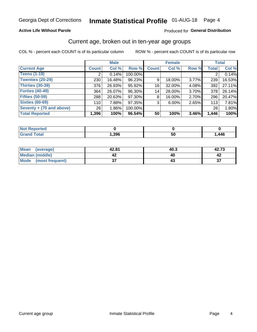#### **Active Life Without Parole**

#### Produced for General Distribution

### Current age, broken out in ten-year age groups

COL % - percent each COUNT is of its particular column

|                          |              | <b>Male</b> |         |              | <b>Female</b> |       |                 | <b>Total</b> |
|--------------------------|--------------|-------------|---------|--------------|---------------|-------|-----------------|--------------|
| <b>Current Age</b>       | <b>Count</b> | Col %       | Row %   | <b>Count</b> | Col %         | Row % | <b>Total</b>    | Col %        |
| <b>Teens (1-19)</b>      | ⌒            | 0.14%       | 100.00% |              |               |       |                 | 0.14%        |
| <b>Twenties (20-29)</b>  | 230          | 16.48%      | 96.23%  | 9            | 18.00%        | 3.77% | 239             | 16.53%       |
| Thirties (30-39)         | 376          | 26.93%      | 95.92%  | 16           | 32.00%        | 4.08% | 392             | 27.11%       |
| <b>Forties (40-49)</b>   | 364          | 26.07%      | 96.30%  | 14           | 28.00%        | 3.70% | 378             | 26.14%       |
| <b>Fifties (50-59)</b>   | 288          | 20.63%      | 97.30%  | 8            | 16.00%        | 2.70% | 296             | 20.47%       |
| <b>Sixties (60-69)</b>   | 110          | 7.88%       | 97.35%  | 3            | $6.00\%$      | 2.65% | 113             | 7.81%        |
| Seventy + (70 and above) | 26           | $1.86\%$    | 100.00% |              |               |       | 26 <sub>1</sub> | 1.80%        |
| <b>Total Reported</b>    | 1,396        | 100%        | 96.54%  | 50           | 100%          | 3.46% | 1,446           | 100%         |

| <b><i>Committee Committee Committee Committee Committee Committee Committee Committee Committee Committee Committee</i></b><br>m.<br>теп |      |         |      |
|------------------------------------------------------------------------------------------------------------------------------------------|------|---------|------|
| $f \wedge f \wedge f$                                                                                                                    | ,396 | --<br>◡ | ,446 |

| Mean<br>(average)    | 42.81    | 40.3 | 42.73        |
|----------------------|----------|------|--------------|
| Median (middle)      |          |      |              |
| Mode (most frequent) | ^<br>الت |      | $\sim$<br>J. |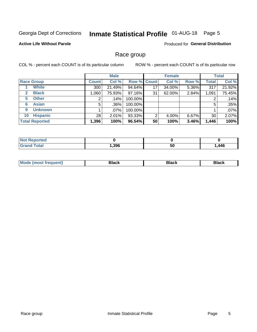## Inmate Statistical Profile 01-AUG-18 Page 5

#### **Active Life Without Parole**

**Produced for General Distribution** 

### Race group

COL % - percent each COUNT is of its particular column

|                              |              | <b>Male</b> |         | <b>Female</b> |        |       | <b>Total</b> |        |
|------------------------------|--------------|-------------|---------|---------------|--------|-------|--------------|--------|
| <b>Race Group</b>            | <b>Count</b> | Col %       |         | Row % Count   | Col %  | Row % | <b>Total</b> | Col %  |
| <b>White</b>                 | 300          | 21.49%      | 94.64%  | 17            | 34.00% | 5.36% | 317          | 21.92% |
| <b>Black</b><br>$\mathbf{2}$ | 1,060        | 75.93%      | 97.16%  | 31            | 62.00% | 2.84% | 1,091        | 75.45% |
| <b>Other</b><br>5.           |              | $.14\%$     | 100.00% |               |        |       | 2            | .14%   |
| <b>Asian</b><br>6            | 5            | $.36\%$     | 100.00% |               |        |       | 5            | .35%   |
| <b>Unknown</b><br>9          |              | .07%        | 100.00% |               |        |       |              | .07%   |
| <b>Hispanic</b><br>10        | 28           | 2.01%       | 93.33%  | 2             | 4.00%  | 6.67% | 30           | 2.07%  |
| <b>Total Reported</b>        | 1,396        | 100%        | 96.54%  | 50            | 100%   | 3.46% | 1,446        | 100%   |

| prted<br>NI 6 |      |          |      |
|---------------|------|----------|------|
| <b>otal</b>   | .396 | 51<br>vu | ,446 |

| <b>Black</b><br>3lack<br>Black |
|--------------------------------|
|--------------------------------|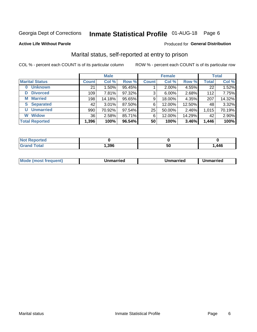## Inmate Statistical Profile 01-AUG-18 Page 6

#### **Active Life Without Parole**

#### Produced for General Distribution

### Marital status, self-reported at entry to prison

COL % - percent each COUNT is of its particular column

|                            |              | <b>Male</b> |        |              | <b>Female</b> |        |              | <b>Total</b> |
|----------------------------|--------------|-------------|--------|--------------|---------------|--------|--------------|--------------|
| <b>Marital Status</b>      | <b>Count</b> | Col %       | Row %  | <b>Count</b> | Col %         | Row %  | <b>Total</b> | Col %        |
| <b>Unknown</b><br>$\bf{0}$ | 21           | $1.50\%$    | 95.45% |              | $2.00\%$      | 4.55%  | 22           | 1.52%        |
| <b>Divorced</b><br>D       | 109          | 7.81%       | 97.32% | 3            | 6.00%         | 2.68%  | 112          | 7.75%        |
| <b>Married</b><br>М        | 198          | 14.18%      | 95.65% | 9            | 18.00%        | 4.35%  | 207          | 14.32%       |
| <b>Separated</b><br>S.     | 42           | $3.01\%$    | 87.50% | 6            | 12.00%        | 12.50% | 48           | 3.32%        |
| <b>Unmarried</b><br>U      | 990          | 70.92%      | 97.54% | 25           | 50.00%        | 2.46%  | 1,015        | 70.19%       |
| <b>Widow</b><br>W          | 36           | 2.58%       | 85.71% | 6            | 12.00%        | 14.29% | 42           | 2.90%        |
| <b>Total Reported</b>      | 1,396        | 100%        | 96.54% | 50           | 100%          | 3.46%  | 1,446        | 100%         |

| <b>Not Reported</b> |      |    |      |
|---------------------|------|----|------|
| <b>Total</b>        | ,396 | วบ | ,446 |

|  | M | . | Unmarried | າmarried<br>_____ |
|--|---|---|-----------|-------------------|
|--|---|---|-----------|-------------------|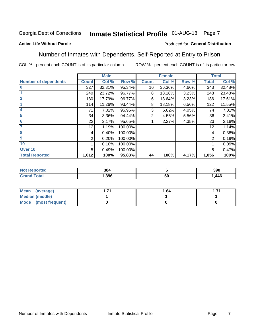#### Inmate Statistical Profile 01-AUG-18 Page 7

#### **Active Life Without Parole**

#### Produced for General Distribution

### Number of Inmates with Dependents, Self-Reported at Entry to Prison

COL % - percent each COUNT is of its particular column

|                             |                 | <b>Male</b> |         |              | <b>Female</b> |       |              | <b>Total</b> |
|-----------------------------|-----------------|-------------|---------|--------------|---------------|-------|--------------|--------------|
| <b>Number of dependents</b> | <b>Count</b>    | Col %       | Row %   | <b>Count</b> | Col %         | Row % | <b>Total</b> | Col %        |
| $\bf{0}$                    | 327             | 32.31%      | 95.34%  | 16           | 36.36%        | 4.66% | 343          | 32.48%       |
|                             | 240             | 23.72%      | 96.77%  | 8            | 18.18%        | 3.23% | 248          | 23.48%       |
| $\overline{2}$              | 180             | 17.79%      | 96.77%  | 6            | 13.64%        | 3.23% | 186          | 17.61%       |
| 3                           | 114             | 11.26%      | 93.44%  | 8            | 18.18%        | 6.56% | 122          | 11.55%       |
| 4                           | 71              | 7.02%       | 95.95%  | 3            | 6.82%         | 4.05% | 74           | 7.01%        |
| 5                           | 34              | 3.36%       | 94.44%  | 2            | 4.55%         | 5.56% | 36           | 3.41%        |
| $6\phantom{1}6$             | 22              | 2.17%       | 95.65%  |              | 2.27%         | 4.35% | 23           | 2.18%        |
| 7                           | 12 <sub>2</sub> | 1.19%       | 100.00% |              |               |       | 12           | 1.14%        |
| $\overline{\mathbf{8}}$     | 4               | 0.40%       | 100.00% |              |               |       | 4            | 0.38%        |
| $\boldsymbol{9}$            | 2               | 0.20%       | 100.00% |              |               |       | 2            | 0.19%        |
| 10                          |                 | 0.10%       | 100.00% |              |               |       |              | 0.09%        |
| Over 10                     | 5               | 0.49%       | 100.00% |              |               |       | 5            | 0.47%        |
| <b>Total Reported</b>       | 1,012           | 100%        | 95.83%  | 44           | 100%          | 4.17% | 1,056        | 100%         |

| つロノ<br>u |            | 390  |
|----------|------------|------|
| ,396     | - -<br>้วเ | .446 |

| Mean (average)         | 1.64 |  |
|------------------------|------|--|
| <b>Median (middle)</b> |      |  |
| Mode (most frequent)   |      |  |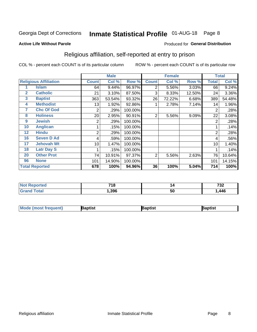## Inmate Statistical Profile 01-AUG-18 Page 8

#### **Active Life Without Parole**

#### Produced for General Distribution

### Religious affiliation, self-reported at entry to prison

COL % - percent each COUNT is of its particular column

|              |                              |              | <b>Male</b> |         |              | <b>Female</b> |        |       | <b>Total</b> |
|--------------|------------------------------|--------------|-------------|---------|--------------|---------------|--------|-------|--------------|
|              | <b>Religious Affiliation</b> | <b>Count</b> | Col %       | Row %   | <b>Count</b> | Col %         | Row %  | Total | Col %        |
|              | <b>Islam</b>                 | 64           | 9.44%       | 96.97%  | 2            | 5.56%         | 3.03%  | 66    | 9.24%        |
| $\mathbf{2}$ | <b>Catholic</b>              | 21           | 3.10%       | 87.50%  | 3            | 8.33%         | 12.50% | 24    | 3.36%        |
| 3            | <b>Baptist</b>               | 363          | 53.54%      | 93.32%  | 26           | 72.22%        | 6.68%  | 389   | 54.48%       |
| 4            | <b>Methodist</b>             | 13           | 1.92%       | 92.86%  |              | 2.78%         | 7.14%  | 14    | 1.96%        |
| 7            | <b>Chc Of God</b>            | 2            | .29%        | 100.00% |              |               |        | 2     | .28%         |
| 8            | <b>Holiness</b>              | 20           | 2.95%       | 90.91%  | 2            | 5.56%         | 9.09%  | 22    | 3.08%        |
| 9            | <b>Jewish</b>                | 2            | .29%        | 100.00% |              |               |        | 2     | .28%         |
| 10           | <b>Anglican</b>              |              | .15%        | 100.00% |              |               |        |       | .14%         |
| 12           | <b>Hindu</b>                 | 2            | .29%        | 100.00% |              |               |        | 2     | .28%         |
| 16           | <b>Seven D Ad</b>            | 4            | .59%        | 100.00% |              |               |        | 4     | .56%         |
| 17           | <b>Jehovah Wt</b>            | 10           | 1.47%       | 100.00% |              |               |        | 10    | 1.40%        |
| 18           | <b>Latr Day S</b>            |              | .15%        | 100.00% |              |               |        |       | .14%         |
| 20           | <b>Other Prot</b>            | 74           | 10.91%      | 97.37%  | 2            | 5.56%         | 2.63%  | 76    | 10.64%       |
| 96           | <b>None</b>                  | 101          | 14.90%      | 100.00% |              |               |        | 101   | 14.15%       |
|              | <b>Total Reported</b>        | 678          | 100%        | 94.96%  | 36           | 100%          | 5.04%  | 714   | 100%         |

| rteo | <b>740</b> | 14 | フクク |
|------|------------|----|-----|
| .    | 10         |    | ے ر |
|      | ,396       | 50 | 446 |

| <b>Mode (most frequent)</b> | 3aptist | 3aptist | Baptist |
|-----------------------------|---------|---------|---------|
|-----------------------------|---------|---------|---------|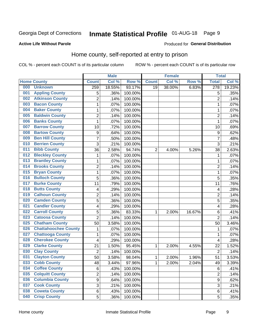## Inmate Statistical Profile 01-AUG-18 Page 9

#### **Active Life Without Parole**

#### Produced for General Distribution

### Home county, self-reported at entry to prison

COL % - percent each COUNT is of its particular column

|     |                             |                  | <b>Male</b> |         |              | <b>Female</b> |        | <b>Total</b>     |        |
|-----|-----------------------------|------------------|-------------|---------|--------------|---------------|--------|------------------|--------|
|     | <b>Home County</b>          | <b>Count</b>     | Col %       | Row %   | <b>Count</b> | Col %         | Row %  | <b>Total</b>     | Col %  |
| 000 | <b>Unknown</b>              | 259              | 18.55%      | 93.17%  | 19           | 38.00%        | 6.83%  | $\overline{278}$ | 19.23% |
| 001 | <b>Appling County</b>       | 5                | .36%        | 100.00% |              |               |        | 5                | .35%   |
| 002 | <b>Atkinson County</b>      | $\overline{2}$   | .14%        | 100.00% |              |               |        | $\overline{2}$   | .14%   |
| 003 | <b>Bacon County</b>         | 1                | .07%        | 100.00% |              |               |        | 1                | .07%   |
| 004 | <b>Baker County</b>         | $\mathbf 1$      | .07%        | 100.00% |              |               |        | 1                | .07%   |
| 005 | <b>Baldwin County</b>       | $\overline{c}$   | .14%        | 100.00% |              |               |        | $\overline{2}$   | .14%   |
| 006 | <b>Banks County</b>         | $\mathbf{1}$     | .07%        | 100.00% |              |               |        | 1                | .07%   |
| 007 | <b>Barrow County</b>        | 10               | .72%        | 100.00% |              |               |        | 10               | .69%   |
| 008 | <b>Bartow County</b>        | $\boldsymbol{9}$ | .64%        | 100.00% |              |               |        | 9                | .62%   |
| 009 | <b>Ben Hill County</b>      | $\overline{7}$   | .50%        | 100.00% |              |               |        | 7                | .48%   |
| 010 | <b>Berrien County</b>       | 3                | .21%        | 100.00% |              |               |        | 3                | .21%   |
| 011 | <b>Bibb County</b>          | 36               | 2.58%       | 94.74%  | 2            | 4.00%         | 5.26%  | 38               | 2.63%  |
| 012 | <b>Bleckley County</b>      | 1                | .07%        | 100.00% |              |               |        | 1                | .07%   |
| 013 | <b>Brantley County</b>      | $\mathbf 1$      | .07%        | 100.00% |              |               |        | 1                | .07%   |
| 014 | <b>Brooks County</b>        | $\overline{2}$   | .14%        | 100.00% |              |               |        | $\overline{2}$   | .14%   |
| 015 | <b>Bryan County</b>         | 1                | .07%        | 100.00% |              |               |        | 1                | .07%   |
| 016 | <b>Bulloch County</b>       | 5                | .36%        | 100.00% |              |               |        | 5                | .35%   |
| 017 | <b>Burke County</b>         | 11               | .79%        | 100.00% |              |               |        | 11               | .76%   |
| 018 | <b>Butts County</b>         | 4                | .29%        | 100.00% |              |               |        | 4                | .28%   |
| 019 | <b>Calhoun County</b>       | 2                | .14%        | 100.00% |              |               |        | $\overline{2}$   | .14%   |
| 020 | <b>Camden County</b>        | 5                | .36%        | 100.00% |              |               |        | 5                | .35%   |
| 021 | <b>Candler County</b>       | 4                | .29%        | 100.00% |              |               |        | 4                | .28%   |
| 022 | <b>Carroll County</b>       | 5                | .36%        | 83.33%  | 1            | 2.00%         | 16.67% | 6                | .41%   |
| 023 | <b>Catoosa County</b>       | $\overline{2}$   | .14%        | 100.00% |              |               |        | $\overline{2}$   | .14%   |
| 025 | <b>Chatham County</b>       | 50               | 3.58%       | 100.00% |              |               |        | 50               | 3.46%  |
| 026 | <b>Chattahoochee County</b> | 1                | .07%        | 100.00% |              |               |        | 1                | .07%   |
| 027 | <b>Chattooga County</b>     | $\mathbf 1$      | .07%        | 100.00% |              |               |        | 1                | .07%   |
| 028 | <b>Cherokee County</b>      | 4                | .29%        | 100.00% |              |               |        | 4                | .28%   |
| 029 | <b>Clarke County</b>        | 21               | 1.50%       | 95.45%  | 1            | 2.00%         | 4.55%  | 22               | 1.52%  |
| 030 | <b>Clay County</b>          | $\overline{2}$   | .14%        | 100.00% |              |               |        | $\overline{2}$   | .14%   |
| 031 | <b>Clayton County</b>       | 50               | 3.58%       | 98.04%  | 1            | 2.00%         | 1.96%  | 51               | 3.53%  |
| 033 | <b>Cobb County</b>          | 48               | 3.44%       | 97.96%  | 1            | 2.00%         | 2.04%  | 49               | 3.39%  |
| 034 | <b>Coffee County</b>        | 6                | .43%        | 100.00% |              |               |        | 6                | .41%   |
| 035 | <b>Colquitt County</b>      | $\overline{2}$   | .14%        | 100.00% |              |               |        | $\overline{2}$   | .14%   |
| 036 | <b>Columbia County</b>      | 9                | .64%        | 100.00% |              |               |        | $\mathsf g$      | .62%   |
| 037 | <b>Cook County</b>          | 3                | .21%        | 100.00% |              |               |        | 3                | .21%   |
| 038 | <b>Coweta County</b>        | 6                | .43%        | 100.00% |              |               |        | 6                | .41%   |
| 040 | <b>Crisp County</b>         | 5                | .36%        | 100.00% |              |               |        | 5                | .35%   |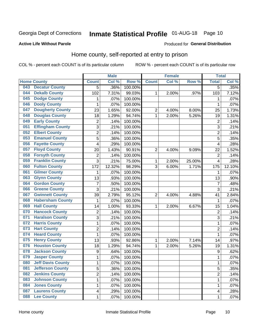## Inmate Statistical Profile 01-AUG-18 Page 10

#### **Active Life Without Parole**

#### Produced for General Distribution

### Home county, self-reported at entry to prison

COL % - percent each COUNT is of its particular column

|     |                          |                         | <b>Male</b> |         |                | <b>Female</b> |        | <b>Total</b>     |         |
|-----|--------------------------|-------------------------|-------------|---------|----------------|---------------|--------|------------------|---------|
|     | <b>Home County</b>       | <b>Count</b>            | Col %       | Row %   | <b>Count</b>   | Col %         | Row %  | <b>Total</b>     | Col%    |
| 043 | <b>Decatur County</b>    | $\overline{5}$          | .36%        | 100.00% |                |               |        | $\overline{5}$   | .35%    |
| 044 | <b>Dekalb County</b>     | 102                     | 7.31%       | 99.03%  | 1              | 2.00%         | .97%   | 103              | 7.12%   |
| 045 | <b>Dodge County</b>      | 1                       | .07%        | 100.00% |                |               |        | 1                | .07%    |
| 046 | <b>Dooly County</b>      | 1                       | .07%        | 100.00% |                |               |        | 1                | .07%    |
| 047 | <b>Dougherty County</b>  | 23                      | 1.65%       | 92.00%  | $\mathbf 2$    | 4.00%         | 8.00%  | 25               | 1.73%   |
| 048 | <b>Douglas County</b>    | 18                      | 1.29%       | 94.74%  | $\mathbf 1$    | 2.00%         | 5.26%  | 19               | 1.31%   |
| 049 | <b>Early County</b>      | $\mathbf 2$             | .14%        | 100.00% |                |               |        | $\overline{2}$   | .14%    |
| 051 | <b>Effingham County</b>  | 3                       | .21%        | 100.00% |                |               |        | 3                | .21%    |
| 052 | <b>Elbert County</b>     | $\overline{2}$          | .14%        | 100.00% |                |               |        | $\overline{2}$   | .14%    |
| 053 | <b>Emanuel County</b>    | 5                       | .36%        | 100.00% |                |               |        | 5                | .35%    |
| 056 | <b>Fayette County</b>    | 4                       | .29%        | 100.00% |                |               |        | 4                | .28%    |
| 057 | <b>Floyd County</b>      | 20                      | 1.43%       | 90.91%  | $\overline{2}$ | 4.00%         | 9.09%  | 22               | 1.52%   |
| 058 | <b>Forsyth County</b>    | $\mathbf 2$             | .14%        | 100.00% |                |               |        | $\overline{2}$   | .14%    |
| 059 | <b>Franklin County</b>   | 3                       | .21%        | 75.00%  | $\mathbf{1}$   | 2.00%         | 25.00% | 4                | .28%    |
| 060 | <b>Fulton County</b>     | 172                     | 12.32%      | 98.29%  | 3              | 6.00%         | 1.71%  | 175              | 12.10%  |
| 061 | <b>Gilmer County</b>     | 1                       | .07%        | 100.00% |                |               |        | 1                | .07%    |
| 063 | <b>Glynn County</b>      | 13                      | .93%        | 100.00% |                |               |        | 13               | $.90\%$ |
| 064 | <b>Gordon County</b>     | $\overline{7}$          | .50%        | 100.00% |                |               |        | 7                | .48%    |
| 066 | <b>Greene County</b>     | 3                       | .21%        | 100.00% |                |               |        | 3                | .21%    |
| 067 | <b>Gwinnett County</b>   | 39                      | 2.79%       | 95.12%  | $\overline{2}$ | 4.00%         | 4.88%  | 41               | 2.84%   |
| 068 | <b>Habersham County</b>  | 1                       | .07%        | 100.00% |                |               |        | 1                | .07%    |
| 069 | <b>Hall County</b>       | 14                      | 1.00%       | 93.33%  | 1              | 2.00%         | 6.67%  | 15               | 1.04%   |
| 070 | <b>Hancock County</b>    | $\mathbf 2$             | .14%        | 100.00% |                |               |        | $\overline{2}$   | .14%    |
| 071 | <b>Haralson County</b>   | 3                       | .21%        | 100.00% |                |               |        | 3                | .21%    |
| 072 | <b>Harris County</b>     | $\mathbf 1$             | .07%        | 100.00% |                |               |        | 1                | .07%    |
| 073 | <b>Hart County</b>       | $\overline{c}$          | .14%        | 100.00% |                |               |        | $\overline{2}$   | .14%    |
| 074 | <b>Heard County</b>      | $\mathbf 1$             | .07%        | 100.00% |                |               |        | 1                | .07%    |
| 075 | <b>Henry County</b>      | 13                      | .93%        | 92.86%  | 1              | 2.00%         | 7.14%  | 14               | .97%    |
| 076 | <b>Houston County</b>    | 18                      | 1.29%       | 94.74%  | 1              | 2.00%         | 5.26%  | 19               | 1.31%   |
| 078 | <b>Jackson County</b>    | $\boldsymbol{9}$        | .64%        | 100.00% |                |               |        | $\boldsymbol{9}$ | .62%    |
| 079 | <b>Jasper County</b>     | 1                       | .07%        | 100.00% |                |               |        | 1                | .07%    |
| 080 | <b>Jeff Davis County</b> | 1                       | .07%        | 100.00% |                |               |        | 1                | .07%    |
| 081 | <b>Jefferson County</b>  | 5                       | .36%        | 100.00% |                |               |        | 5                | .35%    |
| 082 | <b>Jenkins County</b>    | $\overline{c}$          | .14%        | 100.00% |                |               |        | 2                | .14%    |
| 083 | <b>Johnson County</b>    | $\mathbf 1$             | .07%        | 100.00% |                |               |        | 1                | .07%    |
| 084 | <b>Jones County</b>      | $\mathbf 1$             | .07%        | 100.00% |                |               |        | 1                | .07%    |
| 087 | <b>Laurens County</b>    | $\overline{\mathbf{4}}$ | .29%        | 100.00% |                |               |        | 4                | .28%    |
| 088 | <b>Lee County</b>        | $\mathbf{1}$            | .07%        | 100.00% |                |               |        | 1                | .07%    |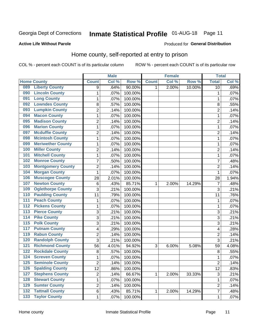## Inmate Statistical Profile 01-AUG-18 Page 11

#### **Active Life Without Parole**

#### Produced for General Distribution

### Home county, self-reported at entry to prison

COL % - percent each COUNT is of its particular column

|                  |                          |                | <b>Male</b> |         |              | <b>Female</b> |        | <b>Total</b>   |       |
|------------------|--------------------------|----------------|-------------|---------|--------------|---------------|--------|----------------|-------|
|                  | <b>Home County</b>       | <b>Count</b>   | Col%        | Row %   | <b>Count</b> | Col %         | Row %  | <b>Total</b>   | Col % |
| 089              | <b>Liberty County</b>    | 9              | .64%        | 90.00%  | 1            | 2.00%         | 10.00% | 10             | .69%  |
| 090              | <b>Lincoln County</b>    | $\mathbf{1}$   | .07%        | 100.00% |              |               |        | 1              | .07%  |
| 091              | <b>Long County</b>       | $\mathbf 1$    | .07%        | 100.00% |              |               |        | 1              | .07%  |
| 092              | <b>Lowndes County</b>    | 8              | .57%        | 100.00% |              |               |        | 8              | .55%  |
| 093              | <b>Lumpkin County</b>    | $\overline{c}$ | .14%        | 100.00% |              |               |        | $\overline{2}$ | .14%  |
| 094              | <b>Macon County</b>      | $\mathbf 1$    | .07%        | 100.00% |              |               |        | 1              | .07%  |
| 095              | <b>Madison County</b>    | $\overline{c}$ | .14%        | 100.00% |              |               |        | $\overline{c}$ | .14%  |
| 096              | <b>Marion County</b>     | $\mathbf{1}$   | .07%        | 100.00% |              |               |        | 1              | .07%  |
| 097              | <b>Mcduffie County</b>   | $\overline{2}$ | .14%        | 100.00% |              |               |        | $\overline{2}$ | .14%  |
| 098              | <b>Mcintosh County</b>   | $\mathbf 1$    | .07%        | 100.00% |              |               |        | 1              | .07%  |
| 099              | <b>Meriwether County</b> | $\mathbf 1$    | .07%        | 100.00% |              |               |        | 1              | .07%  |
| 100              | <b>Miller County</b>     | $\overline{c}$ | .14%        | 100.00% |              |               |        | $\overline{2}$ | .14%  |
| 101              | <b>Mitchell County</b>   | $\mathbf 1$    | .07%        | 100.00% |              |               |        | 1              | .07%  |
| 102              | <b>Monroe County</b>     | $\overline{7}$ | .50%        | 100.00% |              |               |        | 7              | .48%  |
| 103              | <b>Montgomery County</b> | $\overline{2}$ | .14%        | 100.00% |              |               |        | $\overline{2}$ | .14%  |
| 104              | <b>Morgan County</b>     | 1              | .07%        | 100.00% |              |               |        | 1              | .07%  |
| 106              | <b>Muscogee County</b>   | 28             | 2.01%       | 100.00% |              |               |        | 28             | 1.94% |
| 107              | <b>Newton County</b>     | 6              | .43%        | 85.71%  | 1            | 2.00%         | 14.29% | 7              | .48%  |
| 109              | <b>Oglethorpe County</b> | 3              | .21%        | 100.00% |              |               |        | 3              | .21%  |
| 110              | <b>Paulding County</b>   | 11             | .79%        | 100.00% |              |               |        | 11             | .76%  |
| 111              | <b>Peach County</b>      | $\mathbf 1$    | .07%        | 100.00% |              |               |        | 1              | .07%  |
| $\overline{112}$ | <b>Pickens County</b>    | $\mathbf 1$    | .07%        | 100.00% |              |               |        | 1              | .07%  |
| 113              | <b>Pierce County</b>     | 3              | .21%        | 100.00% |              |               |        | 3              | .21%  |
| 114              | <b>Pike County</b>       | 3              | .21%        | 100.00% |              |               |        | 3              | .21%  |
| $\overline{115}$ | <b>Polk County</b>       | 3              | .21%        | 100.00% |              |               |        | 3              | .21%  |
| 117              | <b>Putnam County</b>     | 4              | .29%        | 100.00% |              |               |        | 4              | .28%  |
| 119              | <b>Rabun County</b>      | $\overline{2}$ | .14%        | 100.00% |              |               |        | $\overline{2}$ | .14%  |
| 120              | <b>Randolph County</b>   | 3              | .21%        | 100.00% |              |               |        | 3              | .21%  |
| 121              | <b>Richmond County</b>   | 56             | 4.01%       | 94.92%  | 3            | 6.00%         | 5.08%  | 59             | 4.08% |
| 122              | <b>Rockdale County</b>   | 8              | .57%        | 100.00% |              |               |        | 8              | .55%  |
| 124              | <b>Screven County</b>    | $\mathbf{1}$   | .07%        | 100.00% |              |               |        | 1              | .07%  |
| 125              | <b>Seminole County</b>   | 2              | .14%        | 100.00% |              |               |        | 2              | .14%  |
| 126              | <b>Spalding County</b>   | 12             | .86%        | 100.00% |              |               |        | 12             | .83%  |
| 127              | <b>Stephens County</b>   | $\overline{c}$ | .14%        | 66.67%  | 1            | 2.00%         | 33.33% | $\sqrt{3}$     | .21%  |
| 128              | <b>Stewart County</b>    | $\mathbf{1}$   | .07%        | 100.00% |              |               |        | 1              | .07%  |
| 129              | <b>Sumter County</b>     | $\overline{2}$ | .14%        | 100.00% |              |               |        | $\overline{2}$ | .14%  |
| $\overline{132}$ | <b>Tattnall County</b>   | 6              | .43%        | 85.71%  | 1            | 2.00%         | 14.29% | 7              | .48%  |
| $\overline{133}$ | <b>Taylor County</b>     | $\mathbf 1$    | .07%        | 100.00% |              |               |        | 1              | .07%  |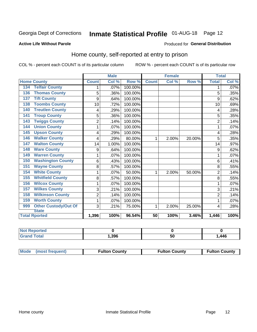## Inmate Statistical Profile 01-AUG-18 Page 12

#### **Active Life Without Parole**

#### Produced for General Distribution

### Home county, self-reported at entry to prison

COL % - percent each COUNT is of its particular column

|                                          | <b>Male</b>    |       |         | <b>Female</b> |       |        | <b>Total</b>   |         |
|------------------------------------------|----------------|-------|---------|---------------|-------|--------|----------------|---------|
| <b>Home County</b>                       | <b>Count</b>   | Col % | Row %   | <b>Count</b>  | Col % | Row %  | <b>Total</b>   | Col %   |
| <b>Telfair County</b><br>134             | 1              | .07%  | 100.00% |               |       |        | 1              | $.07\%$ |
| <b>Thomas County</b><br>136              | 5              | .36%  | 100.00% |               |       |        | 5              | .35%    |
| <b>Tift County</b><br>137                | 9              | .64%  | 100.00% |               |       |        | 9              | .62%    |
| <b>Toombs County</b><br>138              | 10             | .72%  | 100.00% |               |       |        | 10             | .69%    |
| <b>Treutlen County</b><br>140            | 4              | .29%  | 100.00% |               |       |        | 4              | .28%    |
| <b>Troup County</b><br>141               | 5              | .36%  | 100.00% |               |       |        | 5              | .35%    |
| <b>Twiggs County</b><br>$\overline{143}$ | $\overline{2}$ | .14%  | 100.00% |               |       |        | $\overline{2}$ | .14%    |
| <b>Union County</b><br>144               | 1              | .07%  | 100.00% |               |       |        | 1              | .07%    |
| <b>Upson County</b><br>145               | 4              | .29%  | 100.00% |               |       |        | 4              | .28%    |
| <b>Walker County</b><br>146              | 4              | .29%  | 80.00%  | 1             | 2.00% | 20.00% | 5              | .35%    |
| <b>Walton County</b><br>147              | 14             | 1.00% | 100.00% |               |       |        | 14             | .97%    |
| <b>Ware County</b><br>148                | 9              | .64%  | 100.00% |               |       |        | 9              | .62%    |
| <b>Warren County</b><br>149              | 1              | .07%  | 100.00% |               |       |        |                | .07%    |
| <b>Washington County</b><br>150          | 6              | .43%  | 100.00% |               |       |        | 6              | .41%    |
| <b>Wayne County</b><br>151               | 8              | .57%  | 100.00% |               |       |        | 8              | .55%    |
| <b>White County</b><br>154               | 1              | .07%  | 50.00%  | 1             | 2.00% | 50.00% | $\overline{2}$ | .14%    |
| <b>Whitfield County</b><br>155           | 8              | .57%  | 100.00% |               |       |        | 8              | .55%    |
| <b>Wilcox County</b><br>156              | 1              | .07%  | 100.00% |               |       |        | 1              | .07%    |
| <b>Wilkes County</b><br>157              | 3              | .21%  | 100.00% |               |       |        | 3              | .21%    |
| <b>Wilkinson County</b><br>158           | $\overline{2}$ | .14%  | 100.00% |               |       |        | $\overline{2}$ | .14%    |
| <b>Worth County</b><br>159               | 1              | .07%  | 100.00% |               |       |        |                | .07%    |
| <b>Other Custody/Out Of</b><br>999       | 3              | .21%  | 75.00%  | 1             | 2.00% | 25.00% | 4              | .28%    |
| <b>State</b>                             |                |       |         |               |       |        |                |         |
| <b>Total Rported</b>                     | 1,396          | 100%  | 96.54%  | 50            | 100%  | 3.46%  | 1,446          | 100%    |

| ported<br><b>NOT</b> |       |     |      |
|----------------------|-------|-----|------|
| <b>c</b> otal        | 396,، | ູບບ | ,446 |

| Mode (most frequent)<br><b>Fulton County</b> | <b>Fulton County</b> | <b>Fulton County</b> |
|----------------------------------------------|----------------------|----------------------|
|----------------------------------------------|----------------------|----------------------|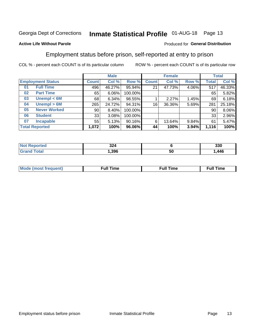## Inmate Statistical Profile 01-AUG-18 Page 13

#### **Active Life Without Parole**

#### Produced for General Distribution

### Employment status before prison, self-reported at entry to prison

COL % - percent each COUNT is of its particular column

|                           |                 | <b>Male</b> |         |              | <b>Female</b> |       |       | <b>Total</b> |  |
|---------------------------|-----------------|-------------|---------|--------------|---------------|-------|-------|--------------|--|
| <b>Employment Status</b>  | <b>Count</b>    | Col %       | Row %   | <b>Count</b> | Col %         | Row % | Total | Col %        |  |
| <b>Full Time</b><br>01    | 496             | 46.27%      | 95.94%  | 21           | 47.73%        | 4.06% | 517   | 46.33%       |  |
| <b>Part Time</b><br>02    | 65              | 6.06%       | 100.00% |              |               |       | 65    | 5.82%        |  |
| Unempl $<$ 6M<br>03       | 68              | 6.34%       | 98.55%  |              | 2.27%         | 1.45% | 69    | 6.18%        |  |
| Unempl > 6M<br>04         | 265             | 24.72%      | 94.31%  | 16           | 36.36%        | 5.69% | 281   | 25.18%       |  |
| <b>Never Worked</b><br>05 | 90 <sub>1</sub> | 8.40%       | 100.00% |              |               |       | 90    | 8.06%        |  |
| <b>Student</b><br>06      | 33              | 3.08%       | 100.00% |              |               |       | 33    | 2.96%        |  |
| <b>Incapable</b><br>07    | 55              | 5.13%       | 90.16%  | 6            | 13.64%        | 9.84% | 61    | 5.47%        |  |
| <b>Total Reported</b>     | 1,072           | 100%        | 96.06%  | 44           | 100%          | 3.94% | 1,116 | 100%         |  |

| 324<br>$\sim$ |    | つつの<br>აას         |
|---------------|----|--------------------|
| .396          | 50 | <b>AAG</b><br>. TV |

| Mc | ∴ull | ----<br>ıme<br>w |
|----|------|------------------|
|    |      |                  |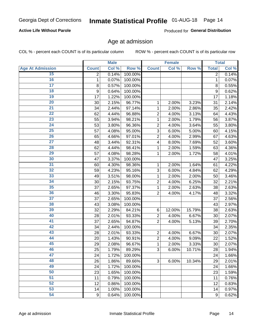#### **Active Life Without Parole**

Produced for General Distribution

### Age at admission

COL % - percent each COUNT is of its particular column

|                         |              | <b>Male</b> |         |                | <b>Female</b> |        |              | <b>Total</b> |
|-------------------------|--------------|-------------|---------|----------------|---------------|--------|--------------|--------------|
| <b>Age At Admission</b> | <b>Count</b> | Col %       | Row %   | <b>Count</b>   | Col %         | Row %  | <b>Total</b> | Col %        |
| 15                      | 2            | 0.14%       | 100.00% |                |               |        | 2            | 0.14%        |
| 16                      | 1            | 0.07%       | 100.00% |                |               |        | 1            | 0.07%        |
| $\overline{17}$         | 8            | 0.57%       | 100.00% |                |               |        | 8            | 0.55%        |
| 18                      | 9            | 0.64%       | 100.00% |                |               |        | 9            | 0.62%        |
| 19                      | 17           | 1.22%       | 100.00% |                |               |        | 17           | 1.18%        |
| $\overline{20}$         | 30           | 2.15%       | 96.77%  | 1              | 2.00%         | 3.23%  | 31           | 2.14%        |
| 21                      | 34           | 2.44%       | 97.14%  | 1              | 2.00%         | 2.86%  | 35           | 2.42%        |
| 22                      | 62           | 4.44%       | 96.88%  | $\overline{2}$ | 4.00%         | 3.13%  | 64           | 4.43%        |
| 23                      | 55           | 3.94%       | 98.21%  | 1              | 2.00%         | 1.79%  | 56           | 3.87%        |
| 24                      | 53           | 3.80%       | 96.36%  | $\overline{2}$ | 4.00%         | 3.64%  | 55           | 3.80%        |
| $\overline{25}$         | 57           | 4.08%       | 95.00%  | 3              | 6.00%         | 5.00%  | 60           | 4.15%        |
| 26                      | 65           | 4.66%       | 97.01%  | $\overline{2}$ | 4.00%         | 2.99%  | 67           | 4.63%        |
| $\overline{27}$         | 48           | 3.44%       | 92.31%  | 4              | 8.00%         | 7.69%  | 52           | 3.60%        |
| 28                      | 62           | 4.44%       | 98.41%  | 1              | 2.00%         | 1.59%  | 63           | 4.36%        |
| 29                      | 57           | 4.08%       | 98.28%  | 1              | 2.00%         | 1.72%  | 58           | 4.01%        |
| 30                      | 47           | 3.37%       | 100.00% |                |               |        | 47           | 3.25%        |
| 31                      | 60           | 4.30%       | 98.36%  | 1              | 2.00%         | 1.64%  | 61           | 4.22%        |
| 32                      | 59           | 4.23%       | 95.16%  | 3              | 6.00%         | 4.84%  | 62           | 4.29%        |
| 33                      | 49           | 3.51%       | 98.00%  | 1              | 2.00%         | 2.00%  | 50           | 3.46%        |
| 34                      | 30           | 2.15%       | 93.75%  | $\overline{2}$ | 4.00%         | 6.25%  | 32           | 2.21%        |
| 35                      | 37           | 2.65%       | 97.37%  | 1              | 2.00%         | 2.63%  | 38           | 2.63%        |
| 36                      | 46           | 3.30%       | 95.83%  | $\overline{2}$ | 4.00%         | 4.17%  | 48           | 3.32%        |
| $\overline{37}$         | 37           | 2.65%       | 100.00% |                |               |        | 37           | 2.56%        |
| 38                      | 43           | 3.08%       | 100.00% |                |               |        | 43           | 2.97%        |
| 39                      | 32           | 2.29%       | 84.21%  | 6              | 12.00%        | 15.79% | 38           | 2.63%        |
| 40                      | 28           | 2.01%       | 93.33%  | $\overline{2}$ | 4.00%         | 6.67%  | 30           | 2.07%        |
| 41                      | 37           | 2.65%       | 94.87%  | $\overline{2}$ | 4.00%         | 5.13%  | 39           | 2.70%        |
| 42                      | 34           | 2.44%       | 100.00% |                |               |        | 34           | 2.35%        |
| 43                      | 28           | 2.01%       | 93.33%  | $\overline{2}$ | 4.00%         | 6.67%  | 30           | 2.07%        |
| 44                      | 20           | 1.43%       | 90.91%  | $\overline{2}$ | 4.00%         | 9.09%  | 22           | 1.52%        |
| 45                      | 29           | 2.08%       | 96.67%  | 1              | 2.00%         | 3.33%  | 30           | 2.07%        |
| 46                      | 25           | 1.79%       | 89.29%  | 3              | 6.00%         | 10.71% | 28           | 1.94%        |
| 47                      | 24           | 1.72%       | 100.00% |                |               |        | 24           | 1.66%        |
| 48                      | 26           | 1.86%       | 89.66%  | 3              | 6.00%         | 10.34% | 29           | 2.01%        |
| 49                      | 24           | 1.72%       | 100.00% |                |               |        | 24           | 1.66%        |
| 50                      | 23           | 1.65%       | 100.00% |                |               |        | 23           | 1.59%        |
| $\overline{51}$         | 11           | 0.79%       | 100.00% |                |               |        | 11           | 0.76%        |
| 52                      | 12           | 0.86%       | 100.00% |                |               |        | 12           | 0.83%        |
| 53                      | 14           | 1.00%       | 100.00% |                |               |        | 14           | 0.97%        |
| 54                      | 9            | 0.64%       | 100.00% |                |               |        | 9            | 0.62%        |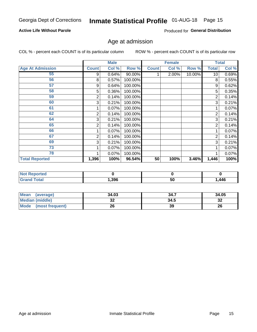#### **Active Life Without Parole**

Produced for General Distribution

## Age at admission

COL % - percent each COUNT is of its particular column

|                         |              | <b>Male</b> |         |              | <b>Female</b> |        |                 | <b>Total</b> |
|-------------------------|--------------|-------------|---------|--------------|---------------|--------|-----------------|--------------|
| <b>Age At Admission</b> | <b>Count</b> | Col %       | Row %   | <b>Count</b> | Col %         | Row %  | Total           | Col %        |
| 55                      | 9            | 0.64%       | 90.00%  |              | 2.00%         | 10.00% | 10 <sup>1</sup> | 0.69%        |
| 56                      | 8            | 0.57%       | 100.00% |              |               |        | 8               | 0.55%        |
| 57                      | 9            | 0.64%       | 100.00% |              |               |        | 9               | 0.62%        |
| 58                      | 5            | 0.36%       | 100.00% |              |               |        | 5               | 0.35%        |
| 59                      | 2            | 0.14%       | 100.00% |              |               |        | 2               | 0.14%        |
| 60                      | 3            | 0.21%       | 100.00% |              |               |        | 3               | 0.21%        |
| 61                      |              | 0.07%       | 100.00% |              |               |        |                 | 0.07%        |
| 62                      | 2            | 0.14%       | 100.00% |              |               |        | 2               | 0.14%        |
| 64                      | 3            | 0.21%       | 100.00% |              |               |        | 3               | 0.21%        |
| 65                      | 2            | 0.14%       | 100.00% |              |               |        | 2               | 0.14%        |
| 66                      |              | 0.07%       | 100.00% |              |               |        |                 | 0.07%        |
| 67                      | 2            | 0.14%       | 100.00% |              |               |        | 2               | 0.14%        |
| 69                      | 3            | 0.21%       | 100.00% |              |               |        | 3               | 0.21%        |
| 73                      |              | 0.07%       | 100.00% |              |               |        |                 | 0.07%        |
| 78                      |              | 0.07%       | 100.00% |              |               |        |                 | 0.07%        |
| <b>Total Reported</b>   | 1,396        | 100%        | 96.54%  | 50           | 100%          | 3.46%  | 1,446           | 100%         |

| <b>Not Reported</b> |      |    |      |
|---------------------|------|----|------|
| <b>Total</b>        | ,396 | 50 | ,446 |

| <b>Mean</b><br>(average) | 34.03   | 34.7 | 34.05   |
|--------------------------|---------|------|---------|
| <b>Median (middle)</b>   | ົ<br>JZ | 34.5 | ົ<br>34 |
| Mode<br>(most frequent)  | 26      | 39   | 26      |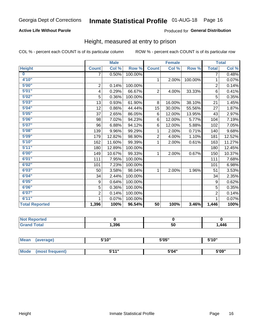#### **Active Life Without Parole**

#### Produced for General Distribution

### Height, measured at entry to prison

COL % - percent each COUNT is of its particular column

|                       |                | <b>Male</b> |         |                 | <b>Female</b> |         |                | <b>Total</b> |
|-----------------------|----------------|-------------|---------|-----------------|---------------|---------|----------------|--------------|
| <b>Height</b>         | <b>Count</b>   | Col %       | Row %   | <b>Count</b>    | Col %         | Row %   | <b>Total</b>   | Col %        |
| $\bf{0}$              | $\overline{7}$ | 0.50%       | 100.00% |                 |               |         | 7              | 0.48%        |
| 4'10''                |                |             |         | $\mathbf{1}$    | 2.00%         | 100.00% | 1              | 0.07%        |
| 5'00''                | $\mathbf 2$    | 0.14%       | 100.00% |                 |               |         | $\overline{2}$ | 0.14%        |
| 5'01"                 | 4              | 0.29%       | 66.67%  | $\overline{2}$  | 4.00%         | 33.33%  | 6              | 0.41%        |
| 5'02"                 | 5              | 0.36%       | 100.00% |                 |               |         | 5              | 0.35%        |
| 5'03''                | 13             | 0.93%       | 61.90%  | 8               | 16.00%        | 38.10%  | 21             | 1.45%        |
| 5'04"                 | 12             | 0.86%       | 44.44%  | 15              | 30.00%        | 55.56%  | 27             | 1.87%        |
| 5'05"                 | 37             | 2.65%       | 86.05%  | 6               | 12.00%        | 13.95%  | 43             | 2.97%        |
| 5'06''                | 98             | 7.02%       | 94.23%  | 6               | 12.00%        | 5.77%   | 104            | 7.19%        |
| 5'07''                | 96             | 6.88%       | 94.12%  | 6               | 12.00%        | 5.88%   | 102            | 7.05%        |
| 5'08''                | 139            | 9.96%       | 99.29%  | 1               | 2.00%         | 0.71%   | 140            | 9.68%        |
| 5'09''                | 179            | 12.82%      | 98.90%  | $\overline{2}$  | 4.00%         | 1.10%   | 181            | 12.52%       |
| 5'10''                | 162            | 11.60%      | 99.39%  | 1               | 2.00%         | 0.61%   | 163            | 11.27%       |
| 5'11"                 | 180            | 12.89%      | 100.00% |                 |               |         | 180            | 12.45%       |
| 6'00''                | 149            | 10.67%      | 99.33%  | 1               | 2.00%         | 0.67%   | 150            | 10.37%       |
| 6'01''                | 111            | 7.95%       | 100.00% |                 |               |         | 111            | 7.68%        |
| 6'02"                 | 101            | 7.23%       | 100.00% |                 |               |         | 101            | 6.98%        |
| 6'03''                | 50             | 3.58%       | 98.04%  | $\mathbf{1}$    | 2.00%         | 1.96%   | 51             | 3.53%        |
| 6'04"                 | 34             | 2.44%       | 100.00% |                 |               |         | 34             | 2.35%        |
| 6'05"                 | 9              | 0.64%       | 100.00% |                 |               |         | 9              | 0.62%        |
| 6'06''                | 5              | 0.36%       | 100.00% |                 |               |         | 5              | 0.35%        |
| 6'07''                | $\overline{2}$ | 0.14%       | 100.00% |                 |               |         | $\overline{2}$ | 0.14%        |
| 6'11''                | 1              | 0.07%       | 100.00% |                 |               |         | 1              | 0.07%        |
| <b>Total Reported</b> | 1,396          | 100%        | 96.54%  | $\overline{50}$ | 100%          | 3.46%   | 1,446          | 100%         |

| ∖rteα<br>'N ( |        |           |        |
|---------------|--------|-----------|--------|
|               | 396, ا | -0<br>ູບບ | 446, ا |

| Mean | (average)       | 5'10" | 5'05" | 5'10" |  |
|------|-----------------|-------|-------|-------|--|
|      |                 |       |       |       |  |
| Mode | (most frequent) | 544"  | 5'04" | 5'09" |  |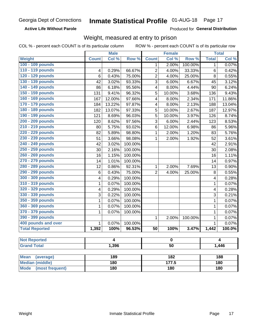**Active Life Without Parole** 

Produced for General Distribution

### Weight, measured at entry to prison

COL % - percent each COUNT is of its particular column

|                                |              | <b>Male</b> |         |                         | <b>Female</b> |         |                   | <b>Total</b> |  |
|--------------------------------|--------------|-------------|---------|-------------------------|---------------|---------|-------------------|--------------|--|
| Weight                         | <b>Count</b> | Col %       | Row %   | <b>Count</b>            | Col %         | Row %   | <b>Total</b>      | Col %        |  |
| 100 - 109 pounds               |              |             |         | 1                       | 2.00%         | 100.00% | 1                 | 0.07%        |  |
| 110 - 119 pounds               | 4            | 0.29%       | 66.67%  | $\overline{2}$          | 4.00%         | 33.33%  | 6                 | 0.42%        |  |
| 120 - 129 pounds               | 6            | 0.43%       | 75.00%  | $\overline{2}$          | 4.00%         | 25.00%  | 8                 | 0.55%        |  |
| 130 - 139 pounds               | 42           | 3.02%       | 93.33%  | 3                       | 6.00%         | 6.67%   | 45                | 3.12%        |  |
| 140 - 149 pounds               | 86           | 6.18%       | 95.56%  | 4                       | 8.00%         | 4.44%   | 90                | 6.24%        |  |
| 150 - 159 pounds               | 131          | 9.41%       | 96.32%  | 5                       | 10.00%        | 3.68%   | 136               | 9.43%        |  |
| 160 - 169 pounds               | 167          | 12.00%      | 97.66%  | $\overline{\mathbf{4}}$ | 8.00%         | 2.34%   | 171               | 11.86%       |  |
| 170 - 179 pounds               | 184          | 13.22%      | 97.87%  | 4                       | 8.00%         | 2.13%   | 188               | 13.04%       |  |
| 180 - 189 pounds               | 182          | 13.07%      | 97.33%  | 5                       | 10.00%        | 2.67%   | 187               | 12.97%       |  |
| 190 - 199 pounds               | 121          | 8.69%       | 96.03%  | 5                       | 10.00%        | 3.97%   | 126               | 8.74%        |  |
| 200 - 209 pounds               | 120          | 8.62%       | 97.56%  | 3                       | 6.00%         | 2.44%   | 123               | 8.53%        |  |
| 210 - 219 pounds               | 80           | 5.75%       | 93.02%  | 6                       | 12.00%        | 6.98%   | 86                | 5.96%        |  |
| 220 - 229 pounds               | 82           | 5.89%       | 98.80%  | 1                       | 2.00%         | 1.20%   | 83                | 5.76%        |  |
| 230 - 239 pounds               | 51           | 3.66%       | 98.08%  | 1                       | 2.00%         | 1.92%   | 52                | 3.61%        |  |
| 240 - 249 pounds               | 42           | 3.02%       | 100.00% |                         |               |         | 42                | 2.91%        |  |
| 250 - 259 pounds               | 30           | 2.16%       | 100.00% |                         |               |         | 30                | 2.08%        |  |
| 260 - 269 pounds               | 16           | 1.15%       | 100.00% |                         |               |         | 16                | 1.11%        |  |
| 270 - 279 pounds               | 14           | 1.01%       | 100.00% |                         |               |         | 14                | 0.97%        |  |
| 280 - 289 pounds               | 12           | 0.86%       | 92.31%  | 1                       | 2.00%         | 7.69%   | 13                | 0.90%        |  |
| 290 - 299 pounds               | $\,6$        | 0.43%       | 75.00%  | $\overline{2}$          | 4.00%         | 25.00%  | 8                 | 0.55%        |  |
| 300 - 309 pounds               | 4            | 0.29%       | 100.00% |                         |               |         | 4                 | 0.28%        |  |
| 310 - 319 pounds               | 1            | 0.07%       | 100.00% |                         |               |         | $\mathbf{1}$      | 0.07%        |  |
| 320 - 329 pounds               | 4            | 0.29%       | 100.00% |                         |               |         | 4                 | 0.28%        |  |
| 330 - 339 pounds               | 3            | 0.22%       | 100.00% |                         |               |         | 3                 | 0.21%        |  |
| 350 - 359 pounds               | 1            | 0.07%       | 100.00% |                         |               |         | 1                 | 0.07%        |  |
| 360 - 369 pounds               | 1            | 0.07%       | 100.00% |                         |               |         | 1                 | 0.07%        |  |
| 370 - 379 pounds               | 1            | 0.07%       | 100.00% |                         |               |         | 1                 | 0.07%        |  |
| 390 - 399 pounds               |              |             |         | 1                       | 2.00%         | 100.00% | 1                 | 0.07%        |  |
| 400 pounds and over            | 1            | 0.07%       | 100.00% |                         |               |         | 1                 | 0.07%        |  |
| <b>Total Reported</b>          | 1,392        | 100%        | 96.53%  | 50                      | 100%          | 3.47%   | 1,442             | 100.0%       |  |
|                                |              |             |         |                         |               |         |                   |              |  |
| <b>Not Reported</b>            | 4            |             | 0       |                         | 4             |         |                   |              |  |
| <b>Grand Total</b>             |              | 1,396       |         | $\overline{50}$         |               |         |                   | 1,446        |  |
| <b>Mean</b><br>(average)       |              | 189         |         |                         | 182           |         |                   | 188          |  |
| <b>Median (middle)</b>         |              | 180         |         |                         | 177.5         |         |                   |              |  |
| <b>Mode</b><br>(most frequent) |              | 180         |         | <b>180</b>              |               |         | 180<br><b>180</b> |              |  |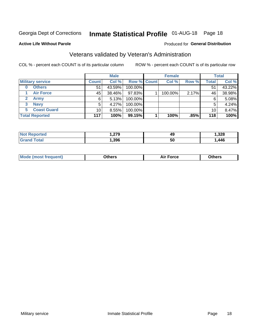## Inmate Statistical Profile 01-AUG-18 Page 18

#### **Active Life Without Parole**

#### Produced for General Distribution

### Veterans validated by Veteran's Administration

COL % - percent each COUNT is of its particular column

|                          |                 | <b>Male</b> |                    | <b>Female</b> |       |              | <b>Total</b> |
|--------------------------|-----------------|-------------|--------------------|---------------|-------|--------------|--------------|
| <b>Military service</b>  | <b>Count</b>    | Col %       | <b>Row % Count</b> | Col %         | Row % | <b>Total</b> | Col %        |
| <b>Others</b><br>0       | 51              | 43.59%      | 100.00%            |               |       | 51           | 43.22%       |
| <b>Air Force</b>         | 45              | 38.46%      | 97.83%             | 100.00%       | 2.17% | 46           | 38.98%       |
| <b>Army</b>              | 6               | 5.13%       | 100.00%            |               |       | 6            | 5.08%        |
| <b>Navy</b><br>3         | 5               | 4.27%       | 100.00%            |               |       | 5            | 4.24%        |
| <b>Coast Guard</b><br>5. | 10 <sub>1</sub> | 8.55%       | 100.00%            |               |       | 10           | 8.47%        |
| <b>Total Reported</b>    | 117             | 100%        | $99.15\%$          | 100%          | .85%  | 118          | 100%         |

| Reported<br><b>NOT</b> | 270<br>. . <i>l i j</i> | 49        | ,328 |
|------------------------|-------------------------|-----------|------|
| $\tau$ otal            | , 396                   | <b>50</b> | ,446 |

| Mo<br>m | ∖‡h∧rc<br>_____ | $-0.002$<br>28 F T<br>UI CE | <b>Others</b><br>____ |
|---------|-----------------|-----------------------------|-----------------------|
|         |                 |                             |                       |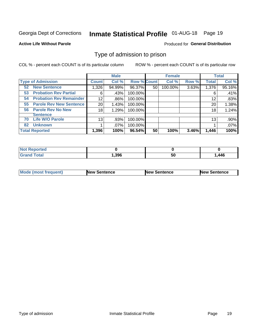## Inmate Statistical Profile 01-AUG-18 Page 19

#### **Active Life Without Parole**

#### Produced for General Distribution

### Type of admission to prison

COL % - percent each COUNT is of its particular column

|                                      |                 | <b>Male</b> |                    |    | <b>Female</b> |       |              | <b>Total</b> |
|--------------------------------------|-----------------|-------------|--------------------|----|---------------|-------|--------------|--------------|
| <b>Type of Admission</b>             | <b>Count</b>    | Col %       | <b>Row % Count</b> |    | Col %         | Row % | <b>Total</b> | Col %        |
| <b>New Sentence</b><br>52            | 1,326           | 94.99%      | 96.37%             | 50 | 100.00%       | 3.63% | 1,376        | 95.16%       |
| <b>Probation Rev Partial</b><br>53   | 6               | .43%        | 100.00%            |    |               |       | 6            | .41%         |
| <b>Probation Rev Remainder</b><br>54 | 12 <sub>2</sub> | .86%        | 100.00%            |    |               |       | 12           | .83%         |
| <b>Parole Rev New Sentence</b><br>55 | 20              | 1.43%       | 100.00%            |    |               |       | 20           | 1.38%        |
| <b>Parole Rev No New</b><br>56       | 18              | 1.29%       | 100.00%            |    |               |       | 18           | 1.24%        |
| <b>Sentence</b>                      |                 |             |                    |    |               |       |              |              |
| <b>Life W/O Parole</b><br>70         | 13              | .93%        | 100.00%            |    |               |       | 13           | .90%         |
| <b>Unknown</b><br>82                 |                 | .07%        | 100.00%            |    |               |       |              | .07%         |
| <b>Total Reported</b>                | 1,396           | 100%        | 96.54%             | 50 | 100%          | 3.46% | 1,446        | 100%         |

| <b>Not Reported</b> |      |    |      |
|---------------------|------|----|------|
| <b>Grand Total</b>  | ,396 | 50 | .446 |

| Mode (most frequent) | <b>New Sentence</b> | <b>New Sentence</b> | <b>New Sentence</b> |
|----------------------|---------------------|---------------------|---------------------|
|                      |                     |                     |                     |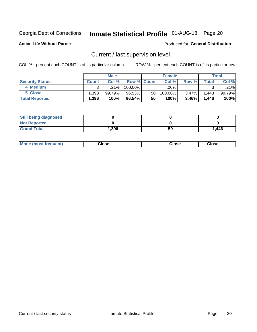## Inmate Statistical Profile 01-AUG-18 Page 20

**Active Life Without Parole** 

#### Produced for General Distribution

## Current / last supervision level

COL % - percent each COUNT is of its particular column

|                        |              | <b>Male</b> |                    |    | <b>Female</b> |       |       | <b>Total</b> |
|------------------------|--------------|-------------|--------------------|----|---------------|-------|-------|--------------|
| <b>Security Status</b> | <b>Count</b> | Col%        | <b>Row % Count</b> |    | Col %         | Row % | Total | Col %        |
| 4 Medium               | ົ            | $.21\%$     | 100.00%            |    | $.00\%$       |       |       | .21%         |
| 5 Close                | ∃393.        | 99.79%      | 96.53%             | 50 | 100.00%       | 3.47% | 1,443 | 99.79%       |
| <b>Total Reported</b>  | ∃396.،       | 100%        | 96.54%             | 50 | 100%          | 3.46% | 1,446 | 100%         |

| <b>Still being diagnosed</b> |       |    |       |
|------------------------------|-------|----|-------|
| <b>Not Reported</b>          |       |    |       |
| <b>Grand Total</b>           | 1,396 | 50 | 1,446 |

| <b>Mode (most frequent)</b> | Close | ∵lose | Close |
|-----------------------------|-------|-------|-------|
|                             |       |       |       |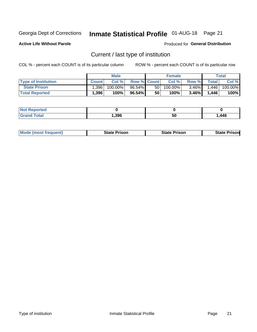## Inmate Statistical Profile 01-AUG-18 Page 21

**Active Life Without Parole** 

Produced for General Distribution

## Current / last type of institution

COL % - percent each COUNT is of its particular column

|                            |              | <b>Male</b> |                    |    | <b>Female</b> |          |             | <b>Total</b> |
|----------------------------|--------------|-------------|--------------------|----|---------------|----------|-------------|--------------|
| <b>Type of Institution</b> | <b>Count</b> | Col%        | <b>Row % Count</b> |    | Col %         | Row %    | $\tau$ otal | Col %        |
| <b>State Prison</b>        | .396         | $100.00\%$  | $96.54\%$          | 50 | $100.00\%$    | $3.46\%$ | .446        | 100.00%      |
| <b>Total Reported</b>      | 1,396        | 100%        | $96.54\%$          | 50 | $100\%$       | $3.46\%$ | 1,446       | 100%         |

| tet |      |    |      |
|-----|------|----|------|
|     | .396 | 50 | ,446 |

|  | <b>Mode (most frequent)</b> | State Prison | <b>State Prison</b> | <b>State Prison</b> |
|--|-----------------------------|--------------|---------------------|---------------------|
|--|-----------------------------|--------------|---------------------|---------------------|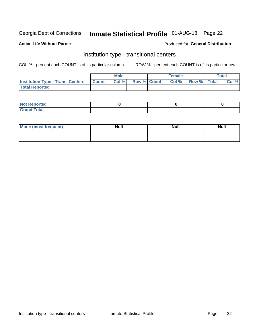## Inmate Statistical Profile 01-AUG-18 Page 22

#### **Active Life Without Parole**

#### Produced for General Distribution

### Institution type - transitional centers

COL % - percent each COUNT is of its particular column

|                                                | <b>Male</b> |                    | <b>Female</b> |             | <b>Total</b> |
|------------------------------------------------|-------------|--------------------|---------------|-------------|--------------|
| <b>Institution Type - Trans. Centers Count</b> | CoI%        | <b>Row % Count</b> | Col % I       | Row % Total | Col %        |
| <b>Total Reported</b>                          |             |                    |               |             |              |

| <b>Reported</b><br><b>NOT</b><br>$\sim$            |  |  |
|----------------------------------------------------|--|--|
| $f$ $f \circ f \circ f$<br>$C = 1$<br><b>TULAI</b> |  |  |

| Mode (most frequent) | <b>Null</b> | <b>Null</b> | <b>Null</b> |
|----------------------|-------------|-------------|-------------|
|                      |             |             |             |
|                      |             |             |             |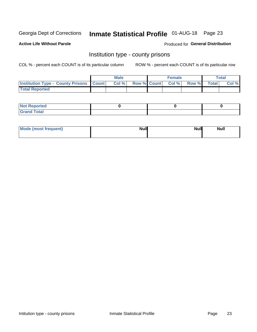## Inmate Statistical Profile 01-AUG-18 Page 23

**Active Life Without Parole** 

Produced for General Distribution

### Institution type - county prisons

COL % - percent each COUNT is of its particular column

|                                                    | <b>Male</b> |       |  | <b>Female</b> |                          |             | <b>Total</b> |       |
|----------------------------------------------------|-------------|-------|--|---------------|--------------------------|-------------|--------------|-------|
| <b>Institution Type - County Prisons   Count  </b> |             | Col % |  |               | <b>Row % Count Col %</b> | Row % Total |              | Col % |
| <b>Total Reported</b>                              |             |       |  |               |                          |             |              |       |

| <b>Not Reported</b>   |  |  |
|-----------------------|--|--|
| <b>Total</b><br>Granc |  |  |

| Mode (most frequent) | <b>Null</b> | <b>Null</b><br><b>Null</b> |
|----------------------|-------------|----------------------------|
|                      |             |                            |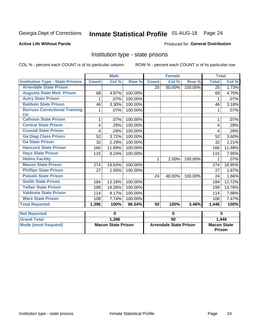## Inmate Statistical Profile 01-AUG-18 Page 24

#### **Active Life Without Parole**

#### **Produced for General Distribution**

### Institution type - state prisons

|                                                    | <b>Male</b>               |        |         | <b>Female</b>                 |        |         | <b>Total</b>                        |        |
|----------------------------------------------------|---------------------------|--------|---------|-------------------------------|--------|---------|-------------------------------------|--------|
| <b>Institution Type - State Prisons</b>            | <b>Count</b>              | Col %  | Row %   | <b>Count</b>                  | Col %  | Row %   | <b>Total</b>                        | Col %  |
| <b>Arrendale State Prison</b>                      |                           |        |         | 25                            | 50.00% | 100.00% | $\overline{25}$                     | 1.73%  |
| <b>Augusta State Med. Prison</b>                   | 68                        | 4.87%  | 100.00% |                               |        |         | 68                                  | 4.70%  |
| <b>Autry State Prison</b>                          | 1                         | .07%   | 100.00% |                               |        |         | 1                                   | .07%   |
| <b>Baldwin State Prison</b>                        | 46                        | 3.30%  | 100.00% |                               |        |         | 46                                  | 3.18%  |
| <b>Burruss Correctional Training</b><br><b>Ctr</b> | 1                         | .07%   | 100.00% |                               |        |         | 1                                   | .07%   |
| <b>Calhoun State Prison</b>                        | 1                         | .07%   | 100.00% |                               |        |         | 1                                   | .07%   |
| <b>Central State Prison</b>                        | 4                         | .29%   | 100.00% |                               |        |         | 4                                   | .28%   |
| <b>Coastal State Prison</b>                        | 4                         | .29%   | 100.00% |                               |        |         | 4                                   | .28%   |
| <b>Ga Diag Class Prison</b>                        | 52                        | 3.72%  | 100.00% |                               |        |         | 52                                  | 3.60%  |
| <b>Ga State Prison</b>                             | 32                        | 2.29%  | 100.00% |                               |        |         | 32                                  | 2.21%  |
| <b>Hancock State Prison</b>                        | 166                       | 11.89% | 100.00% |                               |        |         | 166                                 | 11.48% |
| <b>Hays State Prison</b>                           | 115                       | 8.24%  | 100.00% |                               |        |         | 115                                 | 7.95%  |
| <b>Helms Facility</b>                              |                           |        |         | 1.                            | 2.00%  | 100.00% | 1                                   | .07%   |
| <b>Macon State Prison</b>                          | 274                       | 19.63% | 100.00% |                               |        |         | 274                                 | 18.95% |
| <b>Phillips State Prison</b>                       | 27                        | 1.93%  | 100.00% |                               |        |         | 27                                  | 1.87%  |
| <b>Pulaski State Prison</b>                        |                           |        |         | 24                            | 48.00% | 100.00% | 24                                  | 1.66%  |
| <b>Smith State Prison</b>                          | 184                       | 13.18% | 100.00% |                               |        |         | 184                                 | 12.72% |
| <b>Telfair State Prison</b>                        | 199                       | 14.26% | 100.00% |                               |        |         | 199                                 | 13.76% |
| <b>Valdosta State Prison</b>                       | 114                       | 8.17%  | 100.00% |                               |        |         | 114                                 | 7.88%  |
| <b>Ware State Prison</b>                           | 108                       | 7.74%  | 100.00% |                               |        |         | 108                                 | 7.47%  |
| <b>Total Reported</b>                              | 1,396                     | 100%   | 96.54%  | 50                            | 100%   | 3.46%   | 1,446                               | 100%   |
| <b>Not Reported</b>                                |                           | 0      |         | $\bf{0}$                      |        |         | $\bf{0}$                            |        |
| <b>Grand Total</b>                                 |                           | 1,396  |         | 50                            |        |         |                                     | 1,446  |
| <b>Mode (most frequent)</b>                        | <b>Macon State Prison</b> |        |         | <b>Arrendale State Prison</b> |        |         | <b>Macon State</b><br><b>Prison</b> |        |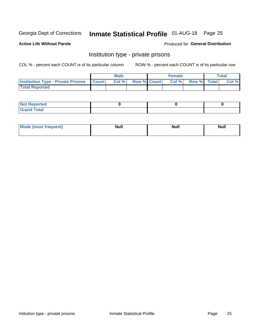## Inmate Statistical Profile 01-AUG-18 Page 25

**Active Life Without Parole** 

#### Produced for General Distribution

### Institution type - private prisons

COL % - percent each COUNT is of its particular column

|                                                     | <b>Male</b> |       |             | <b>Female</b> |       |             | <b>Total</b> |       |
|-----------------------------------------------------|-------------|-------|-------------|---------------|-------|-------------|--------------|-------|
| <b>Institution Type - Private Prisons   Count  </b> |             | Col % | Row % Count |               | Col % | Row % Total |              | Col % |
| <b>Total Reported</b>                               |             |       |             |               |       |             |              |       |

| Not Reported           |  |  |
|------------------------|--|--|
| <b>Cotal</b><br>______ |  |  |

| <b>Mo</b><br>frequent) | <b>Null</b> | <b>Null</b> | . . I *<br><b>IVUII</b> |
|------------------------|-------------|-------------|-------------------------|
|                        |             |             |                         |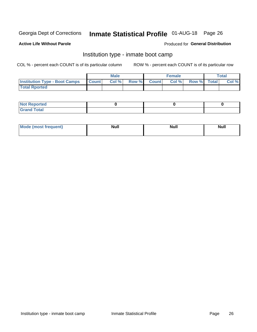## Inmate Statistical Profile 01-AUG-18 Page 26

#### **Active Life Without Parole**

#### Produced for General Distribution

### Institution type - inmate boot camp

COL % - percent each COUNT is of its particular column

|                                      | <b>Male</b>  |       |               |              | <b>Female</b> | <b>Total</b> |  |       |
|--------------------------------------|--------------|-------|---------------|--------------|---------------|--------------|--|-------|
| <b>Institution Type - Boot Camps</b> | <b>Count</b> | Col % | <b>Row %I</b> | <b>Count</b> | Col %         | Row % Total  |  | Col % |
| <b>Total Rported</b>                 |              |       |               |              |               |              |  |       |

| <b>Not Reported</b>            |  |  |
|--------------------------------|--|--|
| <b>Total</b><br>C <sub>r</sub> |  |  |

| Mod<br>uamo | Nul.<br>$- - - - - -$ | <b>Null</b> | <br>uu.<br>------ |
|-------------|-----------------------|-------------|-------------------|
|             |                       |             |                   |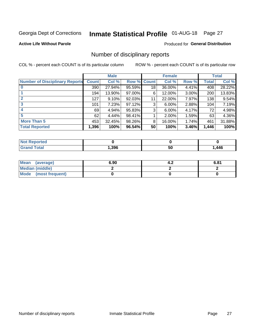## Inmate Statistical Profile 01-AUG-18 Page 27

#### **Active Life Without Parole**

#### Produced for General Distribution

### Number of disciplinary reports

COL % - percent each COUNT is of its particular column

|                                       | <b>Male</b>  |        |        | <b>Female</b> |          |          | <b>Total</b> |        |
|---------------------------------------|--------------|--------|--------|---------------|----------|----------|--------------|--------|
| <b>Number of Disciplinary Reports</b> | <b>Count</b> | Col %  | Row %  | <b>Count</b>  | Col %    | Row %    | Total        | Col %  |
|                                       | 390          | 27.94% | 95.59% | 18            | 36.00%   | 4.41%    | 408          | 28.22% |
|                                       | 194          | 13.90% | 97.00% | 6             | 12.00%   | $3.00\%$ | 200          | 13.83% |
| 2                                     | 127          | 9.10%  | 92.03% | 11            | 22.00%   | 7.97%    | 138          | 9.54%  |
| 3                                     | 101          | 7.23%  | 97.12% | 3             | $6.00\%$ | 2.88%    | 104          | 7.19%  |
|                                       | 69           | 4.94%  | 95.83% | 3             | 6.00%    | 4.17%    | 72           | 4.98%  |
| 5                                     | 62           | 4.44%  | 98.41% |               | 2.00%    | 1.59%    | 63           | 4.36%  |
| <b>More Than 5</b>                    | 453          | 32.45% | 98.26% | 8             | 16.00%   | 1.74%    | 461          | 31.88% |
| <b>Total Reported</b>                 | 1,396        | 100%   | 96.54% | 50            | 100%     | 3.46%    | 1,446        | 100%   |

| orted<br>NO  |      |    |      |
|--------------|------|----|------|
| <b>Total</b> | .396 | ວບ | ,446 |

| Mean (average)       | 6.90 | т. 4 | 6.81 |
|----------------------|------|------|------|
| Median (middle)      |      |      |      |
| Mode (most frequent) |      |      |      |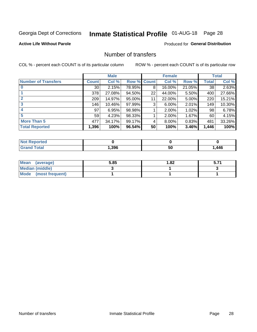## Inmate Statistical Profile 01-AUG-18 Page 28

#### **Active Life Without Parole**

#### **Produced for General Distribution**

### Number of transfers

COL % - percent each COUNT is of its particular column

|                            | <b>Male</b>     |        | <b>Female</b> |    |        | <b>Total</b> |       |        |
|----------------------------|-----------------|--------|---------------|----|--------|--------------|-------|--------|
| <b>Number of Transfers</b> | Count l         | Col %  | Row % Count   |    | Col %  | Row %        | Total | Col %  |
|                            | 30 <sub>1</sub> | 2.15%  | 78.95%        | 8  | 16.00% | 21.05%       | 38    | 2.63%  |
|                            | 378             | 27.08% | 94.50%        | 22 | 44.00% | $5.50\%$     | 400   | 27.66% |
| 2                          | 209             | 14.97% | 95.00%        | 11 | 22.00% | 5.00%        | 220   | 15.21% |
| 3                          | 146             | 10.46% | 97.99%        | 3  | 6.00%  | $2.01\%$     | 149   | 10.30% |
|                            | 97              | 6.95%  | 98.98%        |    | 2.00%  | 1.02%        | 98    | 6.78%  |
| 5                          | 59              | 4.23%  | 98.33%        |    | 2.00%  | 1.67%        | 60    | 4.15%  |
| <b>More Than 5</b>         | 477             | 34.17% | 99.17%        | 4  | 8.00%  | $0.83\%$     | 481   | 33.26% |
| <b>Total Reported</b>      | 1,396           | 100%   | 96.54%        | 50 | 100%   | 3.46%        | 1,446 | 100%   |

| prtea<br><b>NOT REDC</b> |      |    |      |
|--------------------------|------|----|------|
| <sup>-</sup> otal        | ,396 | 50 | ,446 |

| Mean (average)       | 5.85 | 1.82 | 5.71 |
|----------------------|------|------|------|
| Median (middle)      |      |      |      |
| Mode (most frequent) |      |      |      |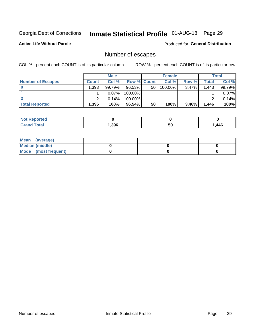## Inmate Statistical Profile 01-AUG-18 Page 29

**Active Life Without Parole** 

Produced for General Distribution

## Number of escapes

COL % - percent each COUNT is of its particular column

|                          | <b>Male</b>       |          |                    | <b>Female</b> |         |          | <b>Total</b> |        |
|--------------------------|-------------------|----------|--------------------|---------------|---------|----------|--------------|--------|
| <b>Number of Escapes</b> | Count l           | Col %    | <b>Row % Count</b> |               | Col %   | Row %    | Total        | Col %  |
|                          | $.393^+$          | 99.79%   | 96.53%             | 50            | 100.00% | $3.47\%$ | 1,443        | 99.79% |
|                          |                   | $0.07\%$ | 100.00%            |               |         |          |              | 0.07%  |
|                          |                   | 0.14%    | 100.00%            |               |         |          |              | 0.14%  |
| <b>Total Reported</b>    | .396 <sup>1</sup> | 100%     | 96.54%             | 50            | 100%    | 3.46%    | 1,446        | 100%   |

| <b>Not Reported</b> |      |    |      |
|---------------------|------|----|------|
| <b>Grand Total</b>  | .396 | 50 | ,446 |

| Mean (average)         |  |  |
|------------------------|--|--|
| <b>Median (middle)</b> |  |  |
| Mode (most frequent)   |  |  |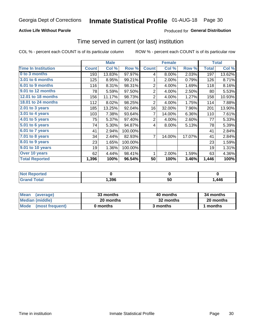#### **Active Life Without Parole**

#### **Produced for General Distribution**

### Time served in current (or last) institution

COL % - percent each COUNT is of its particular column

|                            |              | <b>Male</b> |         |                | <b>Female</b> |        | <b>Total</b> |        |
|----------------------------|--------------|-------------|---------|----------------|---------------|--------|--------------|--------|
| <b>Time In Institution</b> | <b>Count</b> | Col %       | Row %   | <b>Count</b>   | Col %         | Row %  | <b>Total</b> | Col %  |
| 0 to 3 months              | 193          | 13.83%      | 97.97%  | 4              | 8.00%         | 2.03%  | 197          | 13.62% |
| <b>3.01 to 6 months</b>    | 125          | 8.95%       | 99.21%  | 1              | 2.00%         | 0.79%  | 126          | 8.71%  |
| 6.01 to 9 months           | 116          | 8.31%       | 98.31%  | $\overline{2}$ | 4.00%         | 1.69%  | 118          | 8.16%  |
| 9.01 to 12 months          | 78           | 5.59%       | 97.50%  | $\overline{2}$ | 4.00%         | 2.50%  | 80           | 5.53%  |
| 12.01 to 18 months         | 156          | 11.17%      | 98.73%  | $\overline{2}$ | 4.00%         | 1.27%  | 158          | 10.93% |
| <b>18.01 to 24 months</b>  | 112          | 8.02%       | 98.25%  | $\overline{2}$ | 4.00%         | 1.75%  | 114          | 7.88%  |
| $2.01$ to 3 years          | 185          | 13.25%      | 92.04%  | 16             | 32.00%        | 7.96%  | 201          | 13.90% |
| $3.01$ to 4 years          | 103          | 7.38%       | 93.64%  | 7              | 14.00%        | 6.36%  | 110          | 7.61%  |
| 4.01 to 5 years            | 75           | 5.37%       | 97.40%  | $\overline{2}$ | 4.00%         | 2.60%  | 77           | 5.33%  |
| 5.01 to 6 years            | 74           | 5.30%       | 94.87%  | 4              | 8.00%         | 5.13%  | 78           | 5.39%  |
| $6.01$ to 7 years          | 41           | 2.94%       | 100.00% |                |               |        | 41           | 2.84%  |
| 7.01 to 8 years            | 34           | 2.44%       | 82.93%  | 7              | 14.00%        | 17.07% | 41           | 2.84%  |
| 8.01 to 9 years            | 23           | 1.65%       | 100.00% |                |               |        | 23           | 1.59%  |
| 9.01 to 10 years           | 19           | 1.36%       | 100.00% |                |               |        | 19           | 1.31%  |
| Over 10 years              | 62           | 4.44%       | 98.41%  | 1              | 2.00%         | 1.59%  | 63           | 4.36%  |
| <b>Total Reported</b>      | 1,396        | 100%        | 96.54%  | 50             | 100%          | 3.46%  | 1,446        | 100%   |

| <b>Not Reported</b> |      |    |      |
|---------------------|------|----|------|
| $T \cap f \cap f$   | ,396 | งบ | ,446 |

| <b>Mean</b><br>(average) | 33 months | 40 months | 34 months |
|--------------------------|-----------|-----------|-----------|
| Median (middle)          | 20 months | 32 months | 20 months |
| Mode (most frequent)     | 0 months  | 3 months  | 1 months  |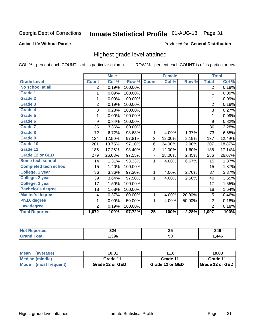## Inmate Statistical Profile 01-AUG-18 Page 31

#### **Active Life Without Parole**

#### Produced for General Distribution

### Highest grade level attained

COL % - percent each COUNT is of its particular column

|                              |                | <b>Male</b> |         |                 | <b>Female</b> |        |                | <b>Total</b> |
|------------------------------|----------------|-------------|---------|-----------------|---------------|--------|----------------|--------------|
| <b>Grade Level</b>           | <b>Count</b>   | Col %       | Row %   | <b>Count</b>    | Col %         | Row %  | <b>Total</b>   | Col %        |
| No school at all             | 2              | 0.19%       | 100.00% |                 |               |        | 2              | 0.18%        |
| <b>Grade 1</b>               | 1              | 0.09%       | 100.00% |                 |               |        | 1              | 0.09%        |
| <b>Grade 2</b>               | 1              | 0.09%       | 100.00% |                 |               |        | 1              | 0.09%        |
| <b>Grade 3</b>               | $\overline{2}$ | 0.19%       | 100.00% |                 |               |        | $\overline{2}$ | 0.18%        |
| <b>Grade 4</b>               | 3              | 0.28%       | 100.00% |                 |               |        | 3              | 0.27%        |
| Grade 5                      | 1              | 0.09%       | 100.00% |                 |               |        | 1              | 0.09%        |
| Grade 6                      | 9              | 0.84%       | 100.00% |                 |               |        | 9              | 0.82%        |
| <b>Grade 7</b>               | 36             | 3.36%       | 100.00% |                 |               |        | 36             | 3.28%        |
| Grade 8                      | 72             | 6.72%       | 98.63%  | 1               | 4.00%         | 1.37%  | 73             | 6.65%        |
| Grade 9                      | 134            | 12.50%      | 97.81%  | 3               | 12.00%        | 2.19%  | 137            | 12.49%       |
| Grade 10                     | 201            | 18.75%      | 97.10%  | 6               | 24.00%        | 2.90%  | 207            | 18.87%       |
| Grade 11                     | 185            | 17.26%      | 98.40%  | 3               | 12.00%        | 1.60%  | 188            | 17.14%       |
| <b>Grade 12 or GED</b>       | 279            | 26.03%      | 97.55%  | $\overline{7}$  | 28.00%        | 2.45%  | 286            | 26.07%       |
| <b>Some tech school</b>      | 14             | 1.31%       | 93.33%  | 1               | 4.00%         | 6.67%  | 15             | 1.37%        |
| <b>Completed tech school</b> | 15             | 1.40%       | 100.00% |                 |               |        | 15             | 1.37%        |
| College, 1 year              | 36             | 3.36%       | 97.30%  | 1               | 4.00%         | 2.70%  | 37             | 3.37%        |
| College, 2 year              | 39             | 3.64%       | 97.50%  | 1               | 4.00%         | 2.50%  | 40             | 3.65%        |
| College, 3 year              | 17             | 1.59%       | 100.00% |                 |               |        | 17             | 1.55%        |
| <b>Bachelor's degree</b>     | 18             | 1.68%       | 100.00% |                 |               |        | 18             | 1.64%        |
| <b>Master's degree</b>       | 4              | 0.37%       | 80.00%  | 1               | 4.00%         | 20.00% | 5              | 0.46%        |
| Ph.D. degree                 | 1              | 0.09%       | 50.00%  | 1               | 4.00%         | 50.00% | $\overline{2}$ | 0.18%        |
| Law degree                   | $\overline{2}$ | 0.19%       | 100.00% |                 |               |        | $\overline{2}$ | 0.18%        |
| <b>Total Reported</b>        | 1,072          | 100%        | 97.72%  | $\overline{25}$ | 100%          | 2.28%  | 1,097          | 100%         |

| orted | nn.<br>JZ4<br>. <u>.</u> | 2 J | 349  |
|-------|--------------------------|-----|------|
| otal  | .396                     | 50  | .446 |

| <b>Mean</b><br>(average) | 10.81           | 11.6            | 10.83           |  |
|--------------------------|-----------------|-----------------|-----------------|--|
| Median (middle)          | Grade 11        | Grade 11        | Grade 11        |  |
| Mode<br>(most frequent)  | Grade 12 or GED | Grade 12 or GED | Grade 12 or GED |  |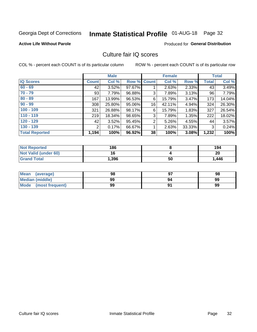## Inmate Statistical Profile 01-AUG-18 Page 32

#### **Active Life Without Parole**

#### **Produced for General Distribution**

### Culture fair IQ scores

COL % - percent each COUNT is of its particular column

|                       |              | <b>Male</b> |                    |                | <b>Female</b> |        |              | <b>Total</b> |
|-----------------------|--------------|-------------|--------------------|----------------|---------------|--------|--------------|--------------|
| <b>IQ Scores</b>      | <b>Count</b> | Col %       | <b>Row % Count</b> |                | Col %         | Row %  | <b>Total</b> | Col %        |
| $60 - 69$             | 42           | 3.52%       | 97.67%             |                | 2.63%         | 2.33%  | 43           | 3.49%        |
| $70 - 79$             | 93           | 7.79%       | 96.88%             | 3              | 7.89%         | 3.13%  | 96           | 7.79%        |
| $80 - 89$             | 167          | 13.99%      | 96.53%             | 6              | 15.79%        | 3.47%  | 173          | 14.04%       |
| $90 - 99$             | 308          | 25.80%      | 95.06%             | 16             | 42.11%        | 4.94%  | 324          | 26.30%       |
| $100 - 109$           | 321          | 26.88%      | 98.17%             | 6              | 15.79%        | 1.83%  | 327          | 26.54%       |
| $110 - 119$           | 219          | 18.34%      | 98.65%             | 3              | 7.89%         | 1.35%  | 222          | 18.02%       |
| $120 - 129$           | 42           | 3.52%       | 95.45%             | $\overline{2}$ | 5.26%         | 4.55%  | 44           | 3.57%        |
| $130 - 139$           | 2            | 0.17%       | 66.67%             | 1              | 2.63%         | 33.33% | 3            | 0.24%        |
| <b>Total Reported</b> | 1,194        | 100%        | 96.92%             | 38             | 100%          | 3.08%  | 1,232        | 100%         |

| <b>Not Reported</b>  | 186   |    | 194   |
|----------------------|-------|----|-------|
| Not Valid (under 60) | 1 C   |    | 20    |
| <b>Grand Total</b>   | 1,396 | 50 | 1,446 |

| Mean<br>(average)      | 98 |    | 98 |
|------------------------|----|----|----|
| <b>Median (middle)</b> | 99 | 94 | 99 |
| Mode (most frequent)   | 99 |    | 99 |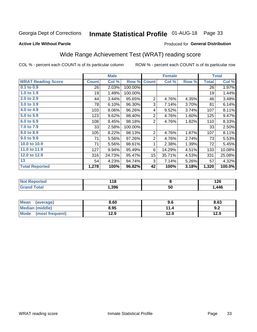## Inmate Statistical Profile 01-AUG-18 Page 33

#### **Active Life Without Parole**

#### Produced for General Distribution

## Wide Range Achievement Test (WRAT) reading score

COL % - percent each COUNT is of its particular column

|                           | <b>Male</b>  |        | <b>Female</b> |                |        | <b>Total</b> |              |        |
|---------------------------|--------------|--------|---------------|----------------|--------|--------------|--------------|--------|
| <b>WRAT Reading Score</b> | <b>Count</b> | Col %  | Row %         | <b>Count</b>   | Col %  | Row %        | <b>Total</b> | Col %  |
| $0.1$ to $0.9$            | 26           | 2.03%  | 100.00%       |                |        |              | 26           | 1.97%  |
| 1.0 to 1.9                | 19           | 1.49%  | 100.00%       |                |        |              | 19           | 1.44%  |
| 2.0 to 2.9                | 44           | 3.44%  | 95.65%        | $\overline{2}$ | 4.76%  | 4.35%        | 46           | 3.48%  |
| 3.0 to 3.9                | 78           | 6.10%  | 96.30%        | 3              | 7.14%  | 3.70%        | 81           | 6.14%  |
| 4.0 to 4.9                | 103          | 8.06%  | 96.26%        | 4              | 9.52%  | 3.74%        | 107          | 8.11%  |
| 5.0 to 5.9                | 123          | 9.62%  | 98.40%        | $\overline{2}$ | 4.76%  | 1.60%        | 125          | 9.47%  |
| 6.0 to 6.9                | 108          | 8.45%  | 98.18%        | $\overline{2}$ | 4.76%  | 1.82%        | 110          | 8.33%  |
| 7.0 to 7.9                | 33           | 2.58%  | 100.00%       |                |        |              | 33           | 2.50%  |
| 8.0 to 8.9                | 105          | 8.22%  | 98.13%        | $\overline{2}$ | 4.76%  | 1.87%        | 107          | 8.11%  |
| 9.0 to 9.9                | 71           | 5.56%  | 97.26%        | $\overline{2}$ | 4.76%  | 2.74%        | 73           | 5.53%  |
| 10.0 to 10.9              | 71           | 5.56%  | 98.61%        | 1              | 2.38%  | 1.39%        | 72           | 5.45%  |
| 11.0 to 11.9              | 127          | 9.94%  | 95.49%        | 6              | 14.29% | 4.51%        | 133          | 10.08% |
| 12.0 to 12.9              | 316          | 24.73% | 95.47%        | 15             | 35.71% | 4.53%        | 331          | 25.08% |
| 13                        | 54           | 4.23%  | 94.74%        | 3              | 7.14%  | 5.26%        | 57           | 4.32%  |
| <b>Total Reported</b>     | 1,278        | 100%   | 96.82%        | 42             | 100%   | 3.18%        | 1,320        | 100.0% |
|                           |              |        |               |                |        |              |              |        |

| <b>Not Reported</b>    | 118   |    | 1 つぐ<br>1 Z O |
|------------------------|-------|----|---------------|
| <b>Total</b><br>'Grand | 1,396 | 50 | 1,446         |

| Mean (average)       | 8.60 | 9.6  | 8.63 |
|----------------------|------|------|------|
| Median (middle)      | 8.95 | 11.4 | 9.2  |
| Mode (most frequent) | 12.9 | 12.9 | 12.9 |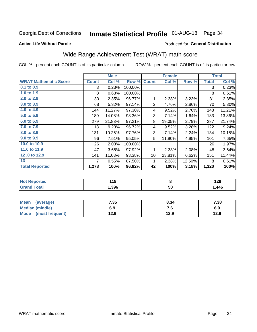## Inmate Statistical Profile 01-AUG-18 Page 34

#### **Active Life Without Parole**

#### Produced for General Distribution

## Wide Range Achievement Test (WRAT) math score

COL % - percent each COUNT is of its particular column

|                              |              | <b>Male</b> |         |                 | <b>Female</b> |        |              | <b>Total</b> |
|------------------------------|--------------|-------------|---------|-----------------|---------------|--------|--------------|--------------|
| <b>WRAT Mathematic Score</b> | <b>Count</b> | Col %       | Row %   | <b>Count</b>    | Col %         | Row %  | <b>Total</b> | Col %        |
| $0.1$ to $0.9$               | 3            | 0.23%       | 100.00% |                 |               |        | 3            | 0.23%        |
| 1.0 to 1.9                   | 8            | 0.63%       | 100.00% |                 |               |        | 8            | 0.61%        |
| 2.0 to 2.9                   | $30$         | 2.35%       | 96.77%  | 1               | 2.38%         | 3.23%  | 31           | 2.35%        |
| 3.0 to 3.9                   | 68           | 5.32%       | 97.14%  | $\overline{2}$  | 4.76%         | 2.86%  | 70           | 5.30%        |
| 4.0 to 4.9                   | 144          | 11.27%      | 97.30%  | 4               | 9.52%         | 2.70%  | 148          | 11.21%       |
| 5.0 to 5.9                   | 180          | 14.08%      | 98.36%  | 3               | 7.14%         | 1.64%  | 183          | 13.86%       |
| 6.0 to 6.9                   | 279          | 21.83%      | 97.21%  | 8               | 19.05%        | 2.79%  | 287          | 21.74%       |
| 7.0 to 7.9                   | 118          | 9.23%       | 96.72%  | 4               | 9.52%         | 3.28%  | 122          | 9.24%        |
| 8.0 to 8.9                   | 131          | 10.25%      | 97.76%  | 3               | 7.14%         | 2.24%  | 134          | 10.15%       |
| 9.0 to 9.9                   | 96           | 7.51%       | 95.05%  | 5               | 11.90%        | 4.95%  | 101          | 7.65%        |
| 10.0 to 10.9                 | 26           | 2.03%       | 100.00% |                 |               |        | 26           | 1.97%        |
| 11.0 to 11.9                 | 47           | 3.68%       | 97.92%  | 1               | 2.38%         | 2.08%  | 48           | 3.64%        |
| 12.0 to 12.9                 | 141          | 11.03%      | 93.38%  | 10 <sup>1</sup> | 23.81%        | 6.62%  | 151          | 11.44%       |
| 13                           | 7            | 0.55%       | 87.50%  | 1               | 2.38%         | 12.50% | 8            | 0.61%        |
| <b>Total Reported</b>        | 1,278        | 100%        | 96.82%  | 42              | 100%          | 3.18%  | 1,320        | 100%         |
|                              |              |             |         |                 |               |        |              |              |

| <b>Not Reported</b> | 18   |            | יים ו<br>1 Z U |
|---------------------|------|------------|----------------|
| <b>Total</b>        | ,396 | c o<br>้วบ | ,446           |

| Mean (average)         | 7.35 | 8.34 | 7.38 |
|------------------------|------|------|------|
| <b>Median (middle)</b> | 6.9  | 7. U | 6.9  |
| Mode (most frequent)   | 12.9 | 12.9 | 12.9 |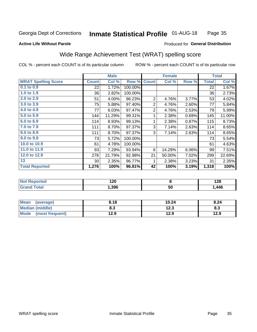#### **Inmate Statistical Profile 01-AUG-18** Page 35

#### **Active Life Without Parole**

#### Produced for General Distribution

### Wide Range Achievement Test (WRAT) spelling score

COL % - percent each COUNT is of its particular column

|                            |                 | <b>Male</b> |         | <b>Female</b>  |        |       | <b>Total</b> |        |
|----------------------------|-----------------|-------------|---------|----------------|--------|-------|--------------|--------|
| <b>WRAT Spelling Score</b> | <b>Count</b>    | Col %       | Row %   | <b>Count</b>   | Col %  | Row % | <b>Total</b> | Col %  |
| $0.1$ to $0.9$             | 22              | 1.72%       | 100.00% |                |        |       | 22           | 1.67%  |
| 1.0 to 1.9                 | 36              | 2.82%       | 100.00% |                |        |       | 36           | 2.73%  |
| 2.0 to 2.9                 | 51              | 4.00%       | 96.23%  | $\overline{2}$ | 4.76%  | 3.77% | 53           | 4.02%  |
| 3.0 to 3.9                 | 75              | 5.88%       | 97.40%  | $\mathbf{2}$   | 4.76%  | 2.60% | 77           | 5.84%  |
| 4.0 to 4.9                 | 77              | 6.03%       | 97.47%  | $\overline{2}$ | 4.76%  | 2.53% | 79           | 5.99%  |
| 5.0 to 5.9                 | 144             | 11.29%      | 99.31%  | 1              | 2.38%  | 0.69% | 145          | 11.00% |
| 6.0 to 6.9                 | 114             | 8.93%       | 99.13%  | 1              | 2.38%  | 0.87% | 115          | 8.73%  |
| 7.0 to 7.9                 | 111             | 8.70%       | 97.37%  | 3              | 7.14%  | 2.63% | 114          | 8.65%  |
| 8.0 to 8.9                 | 111             | 8.70%       | 97.37%  | 3              | 7.14%  | 2.63% | 114          | 8.65%  |
| 9.0 to 9.9                 | 73              | 5.72%       | 100.00% |                |        |       | 73           | 5.54%  |
| 10.0 to 10.9               | 61              | 4.78%       | 100.00% |                |        |       | 61           | 4.63%  |
| 11.0 to 11.9               | 93              | 7.29%       | 93.94%  | 6              | 14.29% | 6.06% | 99           | 7.51%  |
| 12.0 to 12.9               | 278             | 21.79%      | 92.98%  | 21             | 50.00% | 7.02% | 299          | 22.69% |
| 13                         | 30 <sup>°</sup> | 2.35%       | 96.77%  | 1              | 2.38%  | 3.23% | 31           | 2.35%  |
| <b>Total Reported</b>      | 1,276           | 100%        | 96.81%  | 42             | 100%   | 3.19% | 1,318        | 100%   |
|                            |                 |             |         |                |        |       |              |        |
| <b>Not Reported</b>        |                 | 120         |         |                | 8      |       |              | 128    |

| $\blacksquare$ | 1 Z V |    | 170  |
|----------------|-------|----|------|
| <b>otal</b>    | 1,396 | 50 | .446 |
|                |       |    |      |

| <b>Mean</b><br>(average) | 8.18      | 10.24 | 8.24 |
|--------------------------|-----------|-------|------|
| <b>Median (middle)</b>   | ວາ<br>ი.ა | 12.3  | ი.ა  |
| Mode<br>(most frequent)  | 12.9      | 12.9  | 12.9 |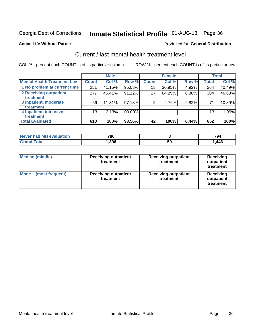## Inmate Statistical Profile 01-AUG-18 Page 36

#### **Active Life Without Parole**

#### Produced for General Distribution

## Current / last mental health treatment level

COL % - percent each COUNT is of its particular column

|                                    |              | <b>Male</b> |           |              | <b>Female</b> |       |                 | <b>Total</b> |
|------------------------------------|--------------|-------------|-----------|--------------|---------------|-------|-----------------|--------------|
| <b>Mental Health Treatment Lev</b> | <b>Count</b> | Col %       | Row %     | <b>Count</b> | Col %         | Row % | Total           | Col %        |
| 1 No problem at current time       | 251          | 41.15%      | 95.08%    | 13           | 30.95%        | 4.92% | 264             | 40.49%       |
| 2 Receiving outpatient             | 277          | 45.41%      | 91.12%    | 27           | 64.29%        | 8.88% | 304             | 46.63%       |
| <b>Treatment</b>                   |              |             |           |              |               |       |                 |              |
| 3 Inpatient, moderate              | 69           | 11.31%      | $97.18\%$ | 2            | 4.76%         | 2.82% | 71              | 10.89%       |
| <b>Treatment</b>                   |              |             |           |              |               |       |                 |              |
| 4 Inpatient, intensive             | 13           | 2.13%       | 100.00%   |              |               |       | 13 <sub>1</sub> | 1.99%        |
| Treatment                          |              |             |           |              |               |       |                 |              |
| <b>Total Evaluated</b>             | 610          | 100%        | 93.56%    | 42           | 100%          | 6.44% | 652             | 100%         |

| Never had MH evaluation | 786   |    | 794  |
|-------------------------|-------|----|------|
| Total                   | 1,396 | ას | .446 |

| <b>Median (middle)</b>         | <b>Receiving outpatient</b><br>treatment | <b>Receiving outpatient</b><br>treatment | <b>Receiving</b><br>outpatient<br>treatment |  |
|--------------------------------|------------------------------------------|------------------------------------------|---------------------------------------------|--|
| <b>Mode</b><br>(most frequent) | <b>Receiving outpatient</b><br>treatment | <b>Receiving outpatient</b><br>treatment | <b>Receiving</b><br>outpatient<br>treatment |  |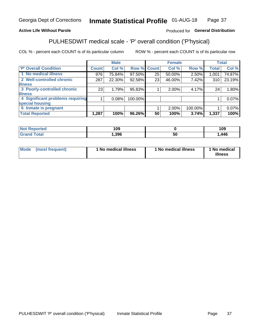#### Inmate Statistical Profile 01-AUG-18 Page 37

#### **Active Life Without Parole**

#### Produced for General Distribution

## PULHESDWIT medical scale - 'P' overall condition ('P'hysical)

COL % - percent each COUNT is of its particular column

|                                  |              | <b>Male</b> |         |              | <b>Female</b> |         |              | <b>Total</b> |
|----------------------------------|--------------|-------------|---------|--------------|---------------|---------|--------------|--------------|
| <b>P' Overall Condition</b>      | <b>Count</b> | Col %       | Row %   | <b>Count</b> | Col %         | Row %   | <b>Total</b> | Col %        |
| 1 No medical illness             | 976          | 75.84%      | 97.50%  | 25           | 50.00%        | 2.50%   | 1,001        | 74.87%       |
| 2 Well-controlled chronic        | 287          | 22.30%      | 92.58%  | 23           | 46.00%        | 7.42%   | 310          | 23.19%       |
| <b>lillness</b>                  |              |             |         |              |               |         |              |              |
| 3 Poorly-controlled chronic      | 23           | 1.79%       | 95.83%  |              | 2.00%         | 4.17%   | 24           | 1.80%        |
| <b>illness</b>                   |              |             |         |              |               |         |              |              |
| 4 Significant problems requiring |              | 0.08%       | 100.00% |              |               |         |              | 0.07%        |
| special housing                  |              |             |         |              |               |         |              |              |
| 6 Inmate is pregnant             |              |             |         |              | 2.00%         | 100.00% |              | 0.07%        |
| <b>Total Reported</b>            | 1,287        | 100%        | 96.26%  | 50           | 100%          | 3.74%   | 1,337        | 100%         |

| onted               | 1 ∩ ∩<br>ט ו |             | 109  |
|---------------------|--------------|-------------|------|
| <b>ota</b><br>_____ | ,396         | ่วเ<br>$ -$ | .446 |

| <b>Mode</b> | (most frequent) | 1 No medical illness | 1 No medical illness | No medical<br>illness |
|-------------|-----------------|----------------------|----------------------|-----------------------|
|-------------|-----------------|----------------------|----------------------|-----------------------|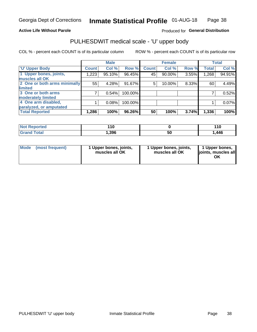#### **Active Life Without Parole**

#### Produced for General Distribution

## PULHESDWIT medical scale - 'U' upper body

COL % - percent each COUNT is of its particular column

|                              |              | <b>Male</b> |         |              | <b>Female</b> |       |              | <b>Total</b> |
|------------------------------|--------------|-------------|---------|--------------|---------------|-------|--------------|--------------|
| <b>'U' Upper Body</b>        | <b>Count</b> | Col %       | Row %   | <b>Count</b> | Col %         | Row % | <b>Total</b> | Col %        |
| 1 Upper bones, joints,       | 1,223        | 95.10%      | 96.45%  | 45           | 90.00%        | 3.55% | 1,268        | 94.91%       |
| muscles all OK               |              |             |         |              |               |       |              |              |
| 2 One or both arms minimally | 55           | 4.28%       | 91.67%  | 5            | 10.00%        | 8.33% | 60           | 4.49%        |
| limited                      |              |             |         |              |               |       |              |              |
| 3 One or both arms           | 7            | 0.54%       | 100.00% |              |               |       |              | 0.52%        |
| <b>moderately limited</b>    |              |             |         |              |               |       |              |              |
| 4 One arm disabled,          |              | 0.08%       | 100.00% |              |               |       |              | 0.07%        |
| paralyzed, or amputated      |              |             |         |              |               |       |              |              |
| <b>Total Reported</b>        | 1,286        | 100%        | 96.26%  | 50           | 100%          | 3.74% | 1,336        | 100%         |

| <b>Not Reported</b> | .<br>1 V |    | 44C  |
|---------------------|----------|----|------|
| <b>Total</b>        | ,396     | วบ | ,446 |

| Mode | (most frequent) | 1 Upper bones, joints,<br>muscles all OK | 1 Upper bones, joints,<br>muscles all OK | 1 Upper bones,<br>ljoints, muscles all<br>OK |
|------|-----------------|------------------------------------------|------------------------------------------|----------------------------------------------|
|------|-----------------|------------------------------------------|------------------------------------------|----------------------------------------------|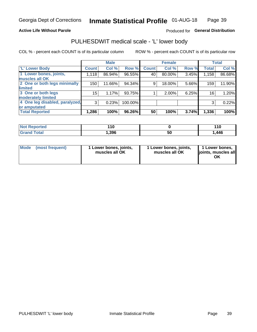#### **Active Life Without Parole**

#### Produced for General Distribution

### PULHESDWIT medical scale - 'L' lower body

COL % - percent each COUNT is of its particular column

|                                |                 | <b>Male</b> |         |              | <b>Female</b> |       |              | <b>Total</b> |
|--------------------------------|-----------------|-------------|---------|--------------|---------------|-------|--------------|--------------|
| 'L' Lower Body                 | <b>Count</b>    | Col %       | Row %   | <b>Count</b> | Col %         | Row % | <b>Total</b> | Col %        |
| 1 Lower bones, joints,         | 1,118           | 86.94%      | 96.55%  | 40           | 80.00%        | 3.45% | 1,158        | 86.68%       |
| muscles all OK                 |                 |             |         |              |               |       |              |              |
| 2 One or both legs minimally   | 150             | 11.66%      | 94.34%  | 9            | 18.00%        | 5.66% | 159          | 11.90%       |
| limited                        |                 |             |         |              |               |       |              |              |
| 3 One or both legs             | 15 <sub>1</sub> | 1.17%       | 93.75%  |              | 2.00%         | 6.25% | 16           | 1.20%        |
| moderately limited             |                 |             |         |              |               |       |              |              |
| 4 One leg disabled, paralyzed, | 3               | 0.23%       | 100.00% |              |               |       | 3            | 0.22%        |
| or amputated                   |                 |             |         |              |               |       |              |              |
| <b>Total Reported</b>          | 1,286           | 100%        | 96.26%  | 50           | 100%          | 3.74% | 1,336        | 100%         |

| <b>Not Reported</b> | .<br>1 V |    | 44C  |
|---------------------|----------|----|------|
| <b>Total</b>        | ,396     | วบ | ,446 |

| Mode | (most frequent) | 1 Lower bones, joints,<br>muscles all OK | 1 Lower bones, joints,<br>muscles all OK | 1 Lower bones,<br>ljoints, muscles all<br>OK |
|------|-----------------|------------------------------------------|------------------------------------------|----------------------------------------------|
|------|-----------------|------------------------------------------|------------------------------------------|----------------------------------------------|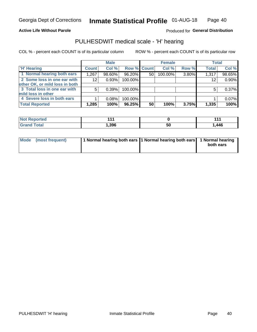#### **Active Life Without Parole**

Produced for General Distribution

### PULHESDWIT medical scale - 'H' hearing

COL % - percent each COUNT is of its particular column

|                                | <b>Male</b>  |        | <b>Female</b> |    |         | <b>Total</b> |              |        |
|--------------------------------|--------------|--------|---------------|----|---------|--------------|--------------|--------|
| <b>H' Hearing</b>              | <b>Count</b> | Col %  | Row % Count   |    | Col %   | Row %        | <b>Total</b> | Col %  |
| 1 Normal hearing both ears     | 1,267        | 98.60% | 96.20%        | 50 | 100.00% | 3.80%        | 1,317        | 98.65% |
| 2 Some loss in one ear with    | 12           | 0.93%  | 100.00%       |    |         |              | 12           | 0.90%  |
| other OK, or mild loss in both |              |        |               |    |         |              |              |        |
| 3 Total loss in one ear with   | 5            | 0.39%  | 100.00%       |    |         |              | 5            | 0.37%  |
| mild loss in other             |              |        |               |    |         |              |              |        |
| 4 Severe loss in both ears     |              | 0.08%  | 100.00%       |    |         |              |              | 0.07%  |
| <b>Total Reported</b>          | 1,285        | 100%   | 96.25%        | 50 | 100%    | 3.75%        | 1,335        | 100%   |

| <b>Not</b><br>: Reported | .    |    | 4 A J |
|--------------------------|------|----|-------|
| <b>Total</b>             | ,396 | 50 | 446,، |

| Mode (most frequent) | 1 Normal hearing both ears 1 Normal hearing both ears 1 Normal hearing | both ears |
|----------------------|------------------------------------------------------------------------|-----------|
|                      |                                                                        |           |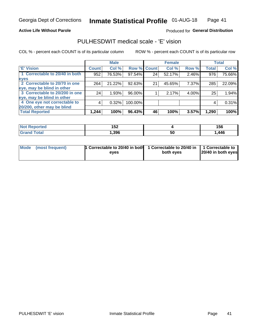#### **Active Life Without Parole**

#### Produced for General Distribution

### PULHESDWIT medical scale - 'E' vision

COL % - percent each COUNT is of its particular column

|                                |              | <b>Male</b> |         |              | <b>Female</b> |          |              | <b>Total</b> |
|--------------------------------|--------------|-------------|---------|--------------|---------------|----------|--------------|--------------|
| <b>E' Vision</b>               | <b>Count</b> | Col %       | Row %   | <b>Count</b> | Col %         | Row %    | <b>Total</b> | Col %        |
| 1 Correctable to 20/40 in both | 952          | 76.53%      | 97.54%  | 24           | 52.17%        | 2.46%    | 976          | 75.66%       |
| eyes                           |              |             |         |              |               |          |              |              |
| 2 Correctable to 20/70 in one  | 264          | 21.22%      | 92.63%  | 21           | 45.65%        | 7.37%    | 285          | 22.09%       |
| eye, may be blind in other     |              |             |         |              |               |          |              |              |
| 3 Correctable to 20/200 in one | 24           | 1.93%       | 96.00%  |              | 2.17%         | $4.00\%$ | 25           | 1.94%        |
| eye, may be blind in other     |              |             |         |              |               |          |              |              |
| 4 One eye not correctable to   | 4            | 0.32%       | 100.00% |              |               |          | 4            | 0.31%        |
| 20/200, other may be blind     |              |             |         |              |               |          |              |              |
| <b>Total Reported</b>          | 1,244        | 100%        | 96.43%  | 46           | 100%          | 3.57%    | 1,290        | 100%         |

| <b>Not Reported</b>   | 1 F A<br>1 J L |    | 156  |
|-----------------------|----------------|----|------|
| <b>Total</b><br>Grand | ,396           | 50 | ,446 |

| Mode (most frequent) | 1 Correctable to 20/40 in both<br>eves | 1 Correctable to 20/40 in   1 Correctable to<br>both eves | 20/40 in both eyes |
|----------------------|----------------------------------------|-----------------------------------------------------------|--------------------|
|                      |                                        |                                                           |                    |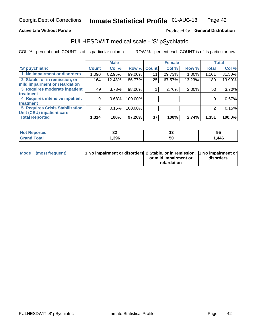#### **Active Life Without Parole**

#### Produced for General Distribution

## PULHESDWIT medical scale - 'S' pSychiatric

COL % - percent each COUNT is of its particular column

|                                        |              | <b>Male</b> |         |             | <b>Female</b> |        |              | <b>Total</b> |
|----------------------------------------|--------------|-------------|---------|-------------|---------------|--------|--------------|--------------|
| 'S' pSychiatric                        | <b>Count</b> | Col %       |         | Row % Count | Col %         | Row %  | <b>Total</b> | Col %        |
| 1 No impairment or disorders           | 1,090        | 82.95%      | 99.00%  | 11          | 29.73%        | 1.00%  | 1,101        | 81.50%       |
| 2 Stable, or in remission, or          | 164          | 12.48%      | 86.77%  | 25          | 67.57%        | 13.23% | 189          | 13.99%       |
| mild impairment or retardation         |              |             |         |             |               |        |              |              |
| 3 Requires moderate inpatient          | 49           | 3.73%       | 98.00%  |             | 2.70%         | 2.00%  | 50           | 3.70%        |
| <b>treatment</b>                       |              |             |         |             |               |        |              |              |
| 4 Requires intensive inpatient         | 9            | 0.68%       | 100.00% |             |               |        | 9            | 0.67%        |
| treatment                              |              |             |         |             |               |        |              |              |
| <b>5 Requires Crisis Stabilization</b> | 2            | 0.15%       | 100.00% |             |               |        | 2            | 0.15%        |
| Unit (CSU) inpatient care              |              |             |         |             |               |        |              |              |
| <b>Total Reported</b>                  | 1,314        | 100%        | 97.26%  | 37          | 100%          | 2.74%  | 1,351        | 100.0%       |

| <b>Not Reported</b> | $\sim$<br>vΔ | . . | 95    |
|---------------------|--------------|-----|-------|
| Total<br>Grand      | 396, ا       | ას  | . 446 |

| Mode | (most frequent) | <b>1 No impairment or disorders</b> 2 Stable, or in remission, 1 No impairment or |                       |           |
|------|-----------------|-----------------------------------------------------------------------------------|-----------------------|-----------|
|      |                 |                                                                                   | or mild impairment or | disorders |
|      |                 |                                                                                   | retardation           |           |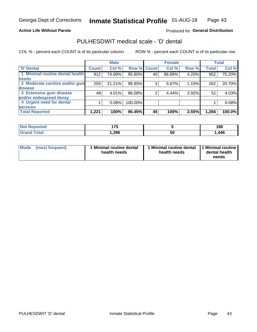#### **Active Life Without Parole**

#### Produced for General Distribution

## PULHESDWIT medical scale - 'D' dental

COL % - percent each COUNT is of its particular column

|                                 |              | <b>Male</b> |         |              | <b>Female</b> |          |              | <b>Total</b> |
|---------------------------------|--------------|-------------|---------|--------------|---------------|----------|--------------|--------------|
| <b>D'</b> Dental                | <b>Count</b> | Col %       | Row %   | <b>Count</b> | Col %         | Row %    | <b>Total</b> | Col %        |
| 1 Minimal routine dental health | 912          | 74.69%      | 95.80%  | 40           | 88.89%        | 4.20%    | 952          | 75.20%       |
| <b>needs</b>                    |              |             |         |              |               |          |              |              |
| 2 Moderate cavities and/or gum  | 259          | 21.21%      | 98.85%  | 3            | 6.67%         | 1.15%    | 262          | 20.70%       |
| disease                         |              |             |         |              |               |          |              |              |
| 3 Extensive gum disease         | 49           | 4.01%       | 96.08%  |              | 4.44%         | $3.92\%$ | 51           | 4.03%        |
| and/or widespread decay         |              |             |         |              |               |          |              |              |
| 4 Urgent need for dental        |              | 0.08%       | 100.00% |              |               |          |              | 0.08%        |
| <b>services</b>                 |              |             |         |              |               |          |              |              |
| <b>Total Reported</b>           | 1,221        | 100%        | 96.45%  | 45           | 100%          | 3.55%    | 1,266        | 100.0%       |

| <b>Not Reported</b> | 17ド  |    | 180  |
|---------------------|------|----|------|
| Total               | .396 | 50 | ,446 |

| <b>Mode</b> | (most frequent) | <b>Minimal routine dental</b><br>health needs | 1 Minimal routine dental 1 Minimal routine<br>health needs | dental health<br>needs |
|-------------|-----------------|-----------------------------------------------|------------------------------------------------------------|------------------------|
|-------------|-----------------|-----------------------------------------------|------------------------------------------------------------|------------------------|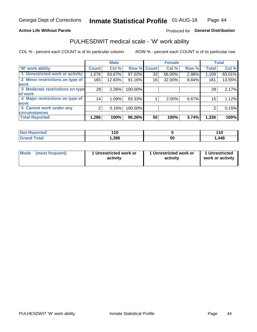#### **Active Life Without Parole**

#### Produced for General Distribution

### PULHESDWIT medical scale - 'W' work ability

COL % - percent each COUNT is of its particular column

|                                 |              | <b>Male</b> |         |             | <b>Female</b> |       |              | <b>Total</b> |
|---------------------------------|--------------|-------------|---------|-------------|---------------|-------|--------------|--------------|
| <b>W' work ability</b>          | <b>Count</b> | Col %       |         | Row % Count | Col %         | Row % | <b>Total</b> | Col %        |
| 1 Unrestricted work or activity | 1,076        | 83.67%      | 97.02%  | 33          | 66.00%        | 2.98% | 1,109        | 83.01%       |
| 2 Minor restrictions on type of | 165          | 12.83%      | 91.16%  | 16          | 32.00%        | 8.84% | 181          | 13.55%       |
| <b>work</b>                     |              |             |         |             |               |       |              |              |
| 3 Moderate restrictions on type | 29           | $2.26\%$    | 100.00% |             |               |       | 29           | 2.17%        |
| lof work                        |              |             |         |             |               |       |              |              |
| 4 Major restrictions on type of | 14           | 1.09%       | 93.33%  |             | 2.00%         | 6.67% | 15           | 1.12%        |
| <b>work</b>                     |              |             |         |             |               |       |              |              |
| 5 Cannot work under any         | 2            | 0.16%       | 100.00% |             |               |       | 2            | 0.15%        |
| <b>circumstances</b>            |              |             |         |             |               |       |              |              |
| <b>Total Reported</b>           | 1,286        | 100%        | 96.26%  | 50          | 100%          | 3.74% | 1,336        | 100%         |

| <b>Not Reported</b>   | 447<br>. .<br>$ -$ |   | 110  |
|-----------------------|--------------------|---|------|
| <b>Total</b><br>Cron/ | 396،،              | ჯ | ,446 |

| Mode            | 1 Unrestricted work or | 1 Unrestricted work or | 1 Unrestricted   |
|-----------------|------------------------|------------------------|------------------|
| (most frequent) | activity               | activity               | work or activity |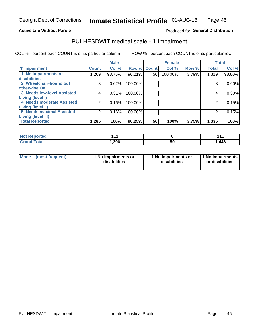#### **Active Life Without Parole**

#### Produced for General Distribution

## PULHESDWIT medical scale - 'I' impairment

|                                   |              | <b>Male</b> |         |              | <b>Female</b> |       |              | <b>Total</b> |
|-----------------------------------|--------------|-------------|---------|--------------|---------------|-------|--------------|--------------|
| <b>T' Impairment</b>              | <b>Count</b> | Col %       | Row %   | <b>Count</b> | Col %         | Row % | <b>Total</b> | Col %        |
| 1 No impairments or               | .269         | 98.75%      | 96.21%  | 50           | 100.00%       | 3.79% | 1,319        | 98.80%       |
| disabilities                      |              |             |         |              |               |       |              |              |
| 2 Wheelchair-bound but            | 8            | 0.62%       | 100.00% |              |               |       | 8            | 0.60%        |
| otherwise OK                      |              |             |         |              |               |       |              |              |
| <b>3 Needs low-level Assisted</b> | 4            | 0.31%       | 100.00% |              |               |       | 4            | 0.30%        |
| Living (level I)                  |              |             |         |              |               |       |              |              |
| 4 Needs moderate Assisted         | 2            | 0.16%       | 100.00% |              |               |       | 2            | 0.15%        |
| <b>Living (level II)</b>          |              |             |         |              |               |       |              |              |
| <b>5 Needs maximal Assisted</b>   | 2            | 0.16%       | 100.00% |              |               |       | 2            | 0.15%        |
| <b>Living (level III)</b>         |              |             |         |              |               |       |              |              |
| <b>Total Reported</b>             | 1,285        | 100%        | 96.25%  | 50           | 100%          | 3.75% | 1,335        | 100%         |

| วorted | 44    |    | 4 A A<br>. |
|--------|-------|----|------------|
| `otal  | 1,396 | ວບ | ,446       |

| <b>Mode</b> | (most frequent) | <b>No impairments or</b><br>disabilities | 1 No impairments or<br>disabilities | 1 No impairments<br>or disabilities |
|-------------|-----------------|------------------------------------------|-------------------------------------|-------------------------------------|
|-------------|-----------------|------------------------------------------|-------------------------------------|-------------------------------------|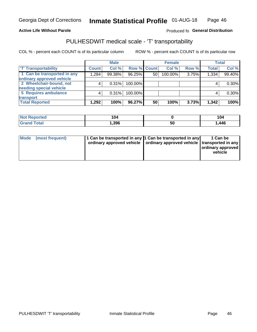#### **Active Life Without Parole**

#### Produced fo General Distribution

## PULHESDWIT medical scale - 'T' transportability

COL % - percent each COUNT is of its particular column

|                             | <b>Male</b>  |        | <b>Female</b> |                 |         | <b>Total</b> |              |          |
|-----------------------------|--------------|--------|---------------|-----------------|---------|--------------|--------------|----------|
| <b>T' Transportability</b>  | <b>Count</b> | Col %  | Row % Count   |                 | Col %   | Row %        | <b>Total</b> | Col %    |
| 1 Can be transported in any | 1,284        | 99.38% | 96.25%        | 50 <sup>1</sup> | 100.00% | 3.75%        | 1,334        | 99.40%   |
| ordinary approved vehicle   |              |        |               |                 |         |              |              |          |
| 2 Wheelchair-bound, not     |              | 0.31%  | 100.00%       |                 |         |              |              | $0.30\%$ |
| needing special vehicle     |              |        |               |                 |         |              |              |          |
| 5 Requires ambulance        |              | 0.31%  | 100.00%       |                 |         |              |              | $0.30\%$ |
| transport                   |              |        |               |                 |         |              |              |          |
| <b>Total Reported</b>       | 292. ا       | 100%   | 96.27%        | 50              | 100%    | 3.73%        | 1,342        | 100%     |

| rted |      |    | 104   |
|------|------|----|-------|
| otal | .396 | 50 | 446،، |

| Mode (most frequent) | 1 Can be transported in any 1 Can be transported in any | ordinary approved vehicle   ordinary approved vehicle   transported in any | 1 Can be<br>ordinary approved<br>vehicle |
|----------------------|---------------------------------------------------------|----------------------------------------------------------------------------|------------------------------------------|
|                      |                                                         |                                                                            |                                          |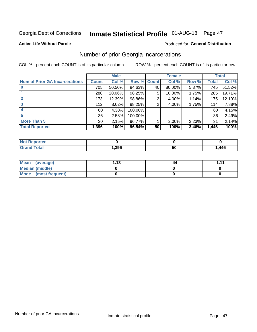## Inmate Statistical Profile 01-AUG-18 Page 47

#### **Active Life Without Parole**

#### **Produced for General Distribution**

### Number of prior Georgia incarcerations

COL % - percent each COUNT is of its particular column

|                                       |                 | <b>Male</b> |                    |    | <b>Female</b> |       |       | <b>Total</b> |
|---------------------------------------|-----------------|-------------|--------------------|----|---------------|-------|-------|--------------|
| <b>Num of Prior GA Incarcerations</b> | <b>Count</b>    | Col %       | <b>Row % Count</b> |    | Col %         | Row % | Total | Col %        |
|                                       | 705             | 50.50%      | 94.63%             | 40 | 80.00%        | 5.37% | 745   | 51.52%       |
|                                       | 280             | 20.06%      | 98.25%             | 5  | 10.00%        | 1.75% | 285   | 19.71%       |
|                                       | 173             | 12.39%      | 98.86%             | 2  | 4.00%         | 1.14% | 175   | 12.10%       |
| 3                                     | 112             | 8.02%       | 98.25%             | 2  | 4.00%         | 1.75% | 114   | 7.88%        |
| 4                                     | 60              | 4.30%       | 100.00%            |    |               |       | 60    | 4.15%        |
| 5                                     | 36              | 2.58%       | 100.00%            |    |               |       | 36    | 2.49%        |
| <b>More Than 5</b>                    | 30 <sup>°</sup> | 2.15%       | 96.77%             |    | 2.00%         | 3.23% | 31    | 2.14%        |
| <b>Total Reported</b>                 | 1,396           | 100%        | 96.54%             | 50 | 100%          | 3.46% | 1,446 | 100%         |

| eported<br><b>NOT</b> |      |    |      |
|-----------------------|------|----|------|
| Total                 | .396 | 50 | ,446 |

| Mean (average)       | 1 1 2 | .44 | 444 |
|----------------------|-------|-----|-----|
| Median (middle)      |       |     |     |
| Mode (most frequent) |       |     |     |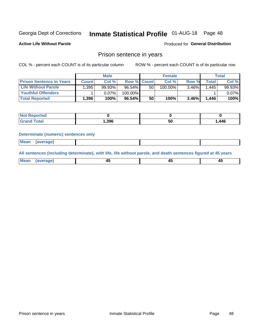## Inmate Statistical Profile 01-AUG-18 Page 48

**Active Life Without Parole** 

Produced for General Distribution

### Prison sentence in years

COL % - percent each COUNT is of its particular column

ROW % - percent each COUNT is of its particular row

|                                 |              | <b>Male</b> |                    |    | <b>Female</b> |          |       | Total  |
|---------------------------------|--------------|-------------|--------------------|----|---------------|----------|-------|--------|
| <b>Prison Sentence In Years</b> | <b>Count</b> | Col %       | <b>Row % Count</b> |    | Col %         | Row %    | Total | Col %  |
| <b>Life Without Parole</b>      | .395         | 99.93%      | $96.54\%$          | 50 | 100.00%       | $3.46\%$ | 1.445 | 99.93% |
| <b>Youthful Offenders</b>       |              | 0.07%       | 100.00%            |    |               |          |       | 0.07%  |
| <b>Total Reported</b>           | 1,396        | 100%        | $96.54\%$          | 50 | 100%          | $3.46\%$ | 1,446 | 100%   |

| <b>Reported</b><br>⊹N∩ì ∶ |      |    |      |
|---------------------------|------|----|------|
| <b>Total</b>              | ,396 | วน | ,446 |

#### **Determinate (numeric) sentences only**

| Mean<br><b>CANG</b> |         |  |  |
|---------------------|---------|--|--|
|                     | 1112211 |  |  |

All sentences (including determinate), with life, life without parole, and death sentences figured at 45 years

| l Mea<br>'апе<br>.<br> | ᠇<br>$\sim$ | $\sim$ |  |
|------------------------|-------------|--------|--|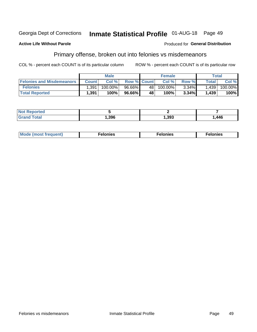#### Inmate Statistical Profile 01-AUG-18 Page 49 Georgia Dept of Corrections

#### **Active Life Without Parole**

#### Produced for General Distribution

### Primary offense, broken out into felonies vs misdemeanors

COL % - percent each COUNT is of its particular column

|                                  |              | <b>Male</b> |                    |                 | <b>Female</b> |          |              | Total   |
|----------------------------------|--------------|-------------|--------------------|-----------------|---------------|----------|--------------|---------|
| <b>Felonies and Misdemeanors</b> | <b>Count</b> | Col%        | <b>Row % Count</b> |                 | Col%          | Row %    | <b>Total</b> | Col %   |
| <b>Felonies</b>                  | .391         | 100.00%     | 96.66%             | 48 <sup>1</sup> | $100.00\%$    | $3.34\%$ | 1,439        | 100.00% |
| <b>Total Reported</b>            | .391         | 100%        | 96.66%             | <b>48</b>       | 100%          | 3.34%    | 1,439        | 100%    |

| <b>Not Reported</b> |      |      |       |
|---------------------|------|------|-------|
| <b>Grand Total</b>  | ,396 | ,393 | 446،، |

| <b>Mode</b><br>frequent)<br>nies<br>≧ (most tr.<br>. | onies<br>. | lonies<br>енл<br>____ |
|------------------------------------------------------|------------|-----------------------|
|------------------------------------------------------|------------|-----------------------|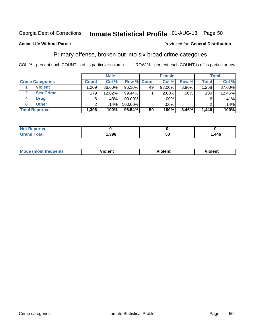## Inmate Statistical Profile 01-AUG-18 Page 50

#### **Active Life Without Parole**

#### Produced for General Distribution

### Primary offense, broken out into six broad crime categories

COL % - percent each COUNT is of its particular column

|                         |              | <b>Male</b> |           |             | <b>Female</b> |       |              | <b>Total</b> |
|-------------------------|--------------|-------------|-----------|-------------|---------------|-------|--------------|--------------|
| <b>Crime Categories</b> | <b>Count</b> | Col %       |           | Row % Count | Col %         | Row % | <b>Total</b> | Col %        |
| <b>Violent</b>          | .209         | 86.60%      | $96.10\%$ | 49          | $98.00\%$     | 3.90% | 1,258        | 87.00%       |
| <b>Sex Crime</b>        | 179          | 12.82%      | 99.44%    |             | $2.00\%$      | .56%  | 180          | 12.45%       |
| <b>Drug</b><br>4        | 6            | .43%        | 100.00%   |             | .00%          |       | 6            | .41%         |
| <b>Other</b><br>6       | ົ            | .14%        | 100.00%   |             | .00%          |       |              | .14%         |
| <b>Total Reported</b>   | 1,396        | 100%        | $96.54\%$ | 50          | 100%          | 3.46% | 1,446        | 100%         |

| orted<br><b>NOT REPO</b> |      |    |      |  |
|--------------------------|------|----|------|--|
| Total                    | .396 | ວເ | .446 |  |

| <b>Mode (most frequent)</b> | <br>'iolent | Violent | --<br><b>Violent</b> |
|-----------------------------|-------------|---------|----------------------|
|                             |             |         |                      |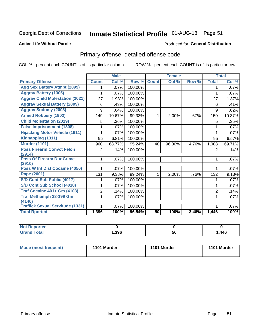## Inmate Statistical Profile 01-AUG-18 Page 51

#### **Active Life Without Parole**

#### Produced for General Distribution

## Primary offense, detailed offense code

COL % - percent each COUNT is of its particular column

|                                            |                | <b>Male</b>               |         |              | <b>Female</b> |       |                | <b>Total</b> |
|--------------------------------------------|----------------|---------------------------|---------|--------------|---------------|-------|----------------|--------------|
| <b>Primary Offense</b>                     | <b>Count</b>   | $\overline{\text{Col}}$ % | Row %   | <b>Count</b> | Col %         | Row % | <b>Total</b>   | Col %        |
| <b>Agg Sex Battery Atmpt (2099)</b>        |                | .07%                      | 100.00% |              |               |       |                | .07%         |
| <b>Aggrav Battery (1305)</b>               |                | .07%                      | 100.00% |              |               |       |                | .07%         |
| <b>Aggrav Child Molestation (2021)</b>     | 27             | 1.93%                     | 100.00% |              |               |       | 27             | 1.87%        |
| <b>Aggrav Sexual Battery (2009)</b>        | 6              | .43%                      | 100.00% |              |               |       | 6              | .41%         |
| <b>Aggrav Sodomy (2003)</b>                | 9              | .64%                      | 100.00% |              |               |       | 9              | .62%         |
| <b>Armed Robbery (1902)</b>                | 149            | 10.67%                    | 99.33%  | 1            | 2.00%         | .67%  | 150            | 10.37%       |
| <b>Child Molestation (2019)</b>            | 5              | .36%                      | 100.00% |              |               |       | 5              | .35%         |
| <b>False Imprisonment (1308)</b>           |                | .07%                      | 100.00% |              |               |       |                | .07%         |
| <b>Hijacking Motor Vehicle (1911)</b>      |                | .07%                      | 100.00% |              |               |       |                | .07%         |
| Kidnapping (1311)                          | 95             | 6.81%                     | 100.00% |              |               |       | 95             | 6.57%        |
| <b>Murder (1101)</b>                       | 960            | 68.77%                    | 95.24%  | 48           | 96.00%        | 4.76% | 1,008          | 69.71%       |
| <b>Poss Firearm Convct Felon</b>           | 2              | .14%                      | 100.00% |              |               |       | $\overline{2}$ | .14%         |
| (2914)                                     |                |                           |         |              |               |       |                |              |
| <b>Poss Of Firearm Dur Crime</b><br>(2910) |                | .07%                      | 100.00% |              |               |       |                | .07%         |
| Poss W Int Dist Cocaine (4050)             |                | .07%                      | 100.00% |              |               |       |                | .07%         |
| Rape (2001)                                | 131            | 9.38%                     | 99.24%  | 1            | 2.00%         | .76%  | 132            | 9.13%        |
| S/D Cont Sub Public (4017)                 |                | .07%                      | 100.00% |              |               |       |                | .07%         |
| S/D Cont Sub School (4018)                 |                | .07%                      | 100.00% |              |               |       | 1              | .07%         |
| <b>Traf Cocaine 401+ Gm (4103)</b>         | $\overline{2}$ | .14%                      | 100.00% |              |               |       | $\overline{2}$ | .14%         |
| <b>Traf Methamph 28-199 Gm</b>             | 1              | .07%                      | 100.00% |              |               |       | 1              | .07%         |
| (4140)                                     |                |                           |         |              |               |       |                |              |
| <b>Traffick Sexual Servitude (1331)</b>    |                | .07%                      | 100.00% |              |               |       | 1              | .07%         |
| <b>Total Rported</b>                       | 1,396          | 100%                      | 96.54%  | 50           | 100%          | 3.46% | 1,446          | 100%         |

| Reported<br><b>NOT</b> |      |    |      |
|------------------------|------|----|------|
| <b>Fotal</b>           | ,396 | 50 | .446 |

| Mode (most frequent) | 1101 Murder | 1101 Murder | 1101 Murder |
|----------------------|-------------|-------------|-------------|
|                      |             |             |             |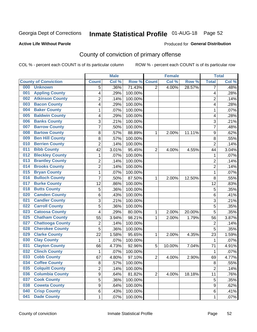## Inmate Statistical Profile 01-AUG-18 Page 52

#### **Active Life Without Parole**

#### **Produced for General Distribution**

## County of conviction of primary offense

COL % - percent each COUNT is of its particular column

|                                |                         | <b>Male</b> |         |                | <b>Female</b> |        |                | <b>Total</b> |
|--------------------------------|-------------------------|-------------|---------|----------------|---------------|--------|----------------|--------------|
| <b>County of Conviction</b>    | <b>Count</b>            | Col %       | Row %   | <b>Count</b>   | Col %         | Row %  | <b>Total</b>   | Col %        |
| 000<br><b>Unknown</b>          | 5                       | .36%        | 71.43%  | $\overline{2}$ | 4.00%         | 28.57% | 7              | .48%         |
| <b>Appling County</b><br>001   | 4                       | .29%        | 100.00% |                |               |        | 4              | .28%         |
| <b>Atkinson County</b><br>002  | $\overline{\mathbf{c}}$ | .14%        | 100.00% |                |               |        | 2              | .14%         |
| <b>Bacon County</b><br>003     | 4                       | .29%        | 100.00% |                |               |        | 4              | .28%         |
| <b>Baker County</b><br>004     | 1                       | .07%        | 100.00% |                |               |        | $\mathbf{1}$   | .07%         |
| <b>Baldwin County</b><br>005   | 4                       | .29%        | 100.00% |                |               |        | 4              | .28%         |
| <b>Banks County</b><br>006     | 3                       | .21%        | 100.00% |                |               |        | 3              | .21%         |
| <b>Barrow County</b><br>007    | 7                       | .50%        | 100.00% |                |               |        | $\overline{7}$ | .48%         |
| <b>Bartow County</b><br>008    | 8                       | .57%        | 88.89%  | 1              | 2.00%         | 11.11% | 9              | .62%         |
| <b>Ben Hill County</b><br>009  | 8                       | .57%        | 100.00% |                |               |        | $\, 8$         | .55%         |
| <b>Berrien County</b><br>010   | $\overline{c}$          | .14%        | 100.00% |                |               |        | $\overline{2}$ | .14%         |
| <b>Bibb County</b><br>011      | 42                      | 3.01%       | 95.45%  | $\overline{2}$ | 4.00%         | 4.55%  | 44             | 3.04%        |
| <b>Bleckley County</b><br>012  | 1                       | .07%        | 100.00% |                |               |        | $\mathbf{1}$   | .07%         |
| <b>Brantley County</b><br>013  | $\overline{\mathbf{c}}$ | .14%        | 100.00% |                |               |        | $\overline{c}$ | .14%         |
| <b>Brooks County</b><br>014    | $\overline{c}$          | .14%        | 100.00% |                |               |        | $\overline{2}$ | .14%         |
| <b>Bryan County</b><br>015     | 1                       | .07%        | 100.00% |                |               |        | 1              | .07%         |
| <b>Bulloch County</b><br>016   | 7                       | .50%        | 87.50%  | 1              | 2.00%         | 12.50% | 8              | .55%         |
| <b>Burke County</b><br>017     | 12                      | .86%        | 100.00% |                |               |        | 12             | .83%         |
| <b>Butts County</b><br>018     | 5                       | .36%        | 100.00% |                |               |        | 5              | .35%         |
| <b>Camden County</b><br>020    | 6                       | .43%        | 100.00% |                |               |        | $\,6$          | .41%         |
| <b>Candler County</b><br>021   | 3                       | .21%        | 100.00% |                |               |        | 3              | .21%         |
| <b>Carroll County</b><br>022   | 5                       | .36%        | 100.00% |                |               |        | 5              | .35%         |
| <b>Catoosa County</b><br>023   | 4                       | .29%        | 80.00%  | 1              | 2.00%         | 20.00% | 5              | .35%         |
| <b>Chatham County</b><br>025   | 55                      | 3.94%       | 98.21%  | 1              | 2.00%         | 1.79%  | 56             | 3.87%        |
| <b>Chattooga County</b><br>027 | $\overline{c}$          | .14%        | 100.00% |                |               |        | $\overline{c}$ | .14%         |
| <b>Cherokee County</b><br>028  | $\overline{5}$          | .36%        | 100.00% |                |               |        | 5              | .35%         |
| <b>Clarke County</b><br>029    | 22                      | 1.58%       | 95.65%  | 1              | 2.00%         | 4.35%  | 23             | 1.59%        |
| <b>Clay County</b><br>030      | 1                       | .07%        | 100.00% |                |               |        | $\mathbf{1}$   | .07%         |
| <b>Clayton County</b><br>031   | 66                      | 4.73%       | 92.96%  | 5              | 10.00%        | 7.04%  | 71             | 4.91%        |
| <b>Clinch County</b><br>032    | 1                       | .07%        | 100.00% |                |               |        | $\mathbf 1$    | .07%         |
| <b>Cobb County</b><br>033      | 67                      | 4.80%       | 97.10%  | $\overline{2}$ | 4.00%         | 2.90%  | 69             | 4.77%        |
| <b>Coffee County</b><br>034    | 8                       | .57%        | 100.00% |                |               |        | 8              | .55%         |
| <b>Colquitt County</b><br>035  | 2                       | .14%        | 100.00% |                |               |        | $\overline{2}$ | .14%         |
| <b>Columbia County</b><br>036  | 9                       | .64%        | 81.82%  | $\overline{2}$ | 4.00%         | 18.18% | 11             | .76%         |
| <b>Cook County</b><br>037      | $\overline{5}$          | .36%        | 100.00% |                |               |        | 5              | .35%         |
| <b>Coweta County</b><br>038    | 9                       | .64%        | 100.00% |                |               |        | 9              | .62%         |
| <b>Crisp County</b><br>040     | 6                       | .43%        | 100.00% |                |               |        | 6              | .41%         |
| <b>Dade County</b><br>041      | 1                       | .07%        | 100.00% |                |               |        | 1              | .07%         |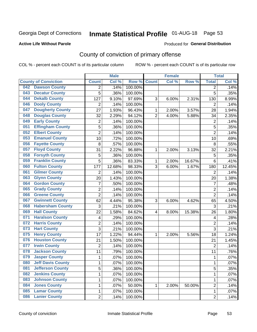## Inmate Statistical Profile 01-AUG-18 Page 53

#### **Active Life Without Parole**

#### Produced for General Distribution

## County of conviction of primary offense

COL % - percent each COUNT is of its particular column

|                                 |                         |                | <b>Male</b> |         |                | <b>Female</b> |        |                | <b>Total</b> |
|---------------------------------|-------------------------|----------------|-------------|---------|----------------|---------------|--------|----------------|--------------|
| <b>County of Conviction</b>     |                         | <b>Count</b>   | Col %       | Row %   | <b>Count</b>   | Col%          | Row %  | <b>Total</b>   | Col %        |
| <b>Dawson County</b><br>042     |                         | 2              | .14%        | 100.00% |                |               |        | 2              | .14%         |
| <b>Decatur County</b><br>043    |                         | 5              | .36%        | 100.00% |                |               |        | 5              | .35%         |
| <b>Dekalb County</b><br>044     |                         | 127            | 9.10%       | 97.69%  | 3              | 6.00%         | 2.31%  | 130            | 8.99%        |
| <b>Dooly County</b><br>046      |                         | $\overline{2}$ | .14%        | 100.00% |                |               |        | 2              | .14%         |
| 047                             | <b>Dougherty County</b> | 27             | 1.93%       | 96.43%  | $\mathbf{1}$   | 2.00%         | 3.57%  | 28             | 1.94%        |
| <b>Douglas County</b><br>048    |                         | 32             | 2.29%       | 94.12%  | $\overline{2}$ | 4.00%         | 5.88%  | 34             | 2.35%        |
| <b>Early County</b><br>049      |                         | $\overline{c}$ | .14%        | 100.00% |                |               |        | $\overline{2}$ | .14%         |
| <b>Effingham County</b><br>051  |                         | 5              | .36%        | 100.00% |                |               |        | 5              | .35%         |
| <b>Elbert County</b><br>052     |                         | $\overline{2}$ | .14%        | 100.00% |                |               |        | $\overline{2}$ | .14%         |
| <b>Emanuel County</b><br>053    |                         | 10             | .72%        | 100.00% |                |               |        | 10             | .69%         |
| <b>Fayette County</b><br>056    |                         | 8              | .57%        | 100.00% |                |               |        | 8              | .55%         |
| <b>Floyd County</b><br>057      |                         | 31             | 2.22%       | 96.88%  | 1              | 2.00%         | 3.13%  | 32             | 2.21%        |
| <b>Forsyth County</b><br>058    |                         | 5              | .36%        | 100.00% |                |               |        | 5              | .35%         |
| <b>Franklin County</b><br>059   |                         | 5              | .36%        | 83.33%  | 1              | 2.00%         | 16.67% | 6              | .41%         |
| <b>Fulton County</b><br>060     |                         | 177            | 12.68%      | 98.33%  | 3              | 6.00%         | 1.67%  | 180            | 12.45%       |
| <b>Gilmer County</b><br>061     |                         | $\overline{2}$ | .14%        | 100.00% |                |               |        | $\overline{2}$ | .14%         |
| <b>Glynn County</b><br>063      |                         | 20             | 1.43%       | 100.00% |                |               |        | 20             | 1.38%        |
| <b>Gordon County</b><br>064     |                         | $\overline{7}$ | .50%        | 100.00% |                |               |        | $\overline{7}$ | .48%         |
| <b>Grady County</b><br>065      |                         | $\overline{2}$ | .14%        | 100.00% |                |               |        | $\overline{2}$ | .14%         |
| <b>Greene County</b><br>066     |                         | $\overline{2}$ | .14%        | 100.00% |                |               |        | $\overline{2}$ | .14%         |
| <b>Gwinnett County</b><br>067   |                         | 62             | 4.44%       | 95.38%  | 3              | 6.00%         | 4.62%  | 65             | 4.50%        |
| 068                             | <b>Habersham County</b> | 3              | .21%        | 100.00% |                |               |        | 3              | .21%         |
| <b>Hall County</b><br>069       |                         | 22             | 1.58%       | 84.62%  | 4              | 8.00%         | 15.38% | 26             | 1.80%        |
| <b>Haralson County</b><br>071   |                         | 4              | .29%        | 100.00% |                |               |        | 4              | .28%         |
| <b>Harris County</b><br>072     |                         | 2              | .14%        | 100.00% |                |               |        | $\overline{2}$ | .14%         |
| <b>Hart County</b><br>073       |                         | 3              | .21%        | 100.00% |                |               |        | 3              | .21%         |
| <b>Henry County</b><br>075      |                         | 17             | 1.22%       | 94.44%  | 1              | 2.00%         | 5.56%  | 18             | 1.24%        |
| <b>Houston County</b><br>076    |                         | 21             | 1.50%       | 100.00% |                |               |        | 21             | 1.45%        |
| <b>Irwin County</b><br>077      |                         | $\overline{2}$ | .14%        | 100.00% |                |               |        | $\overline{2}$ | .14%         |
| <b>Jackson County</b><br>078    |                         | 11             | .79%        | 100.00% |                |               |        | 11             | .76%         |
| <b>Jasper County</b><br>079     |                         | $\mathbf{1}$   | .07%        | 100.00% |                |               |        | 1              | .07%         |
| <b>Jeff Davis County</b><br>080 |                         | 1              | .07%        | 100.00% |                |               |        | 1              | $.07\%$      |
| <b>Jefferson County</b><br>081  |                         | 5              | .36%        | 100.00% |                |               |        | 5              | .35%         |
| <b>Jenkins County</b><br>082    |                         | 1              | .07%        | 100.00% |                |               |        | $\mathbf 1$    | .07%         |
| <b>Johnson County</b><br>083    |                         | 1              | .07%        | 100.00% |                |               |        | 1              | .07%         |
| <b>Jones County</b><br>084      |                         | 1              | .07%        | 50.00%  | 1              | 2.00%         | 50.00% | $\overline{2}$ | .14%         |
| <b>Lamar County</b><br>085      |                         | 1              | .07%        | 100.00% |                |               |        | $\mathbf 1$    | .07%         |
| <b>Lanier County</b><br>086     |                         | $\overline{2}$ | .14%        | 100.00% |                |               |        | $\overline{2}$ | .14%         |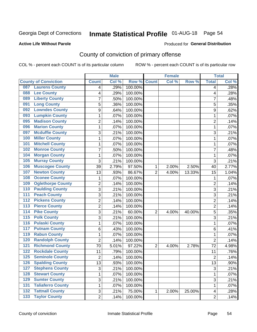## Inmate Statistical Profile 01-AUG-18 Page 54

#### **Active Life Without Parole**

#### Produced for General Distribution

## County of conviction of primary offense

COL % - percent each COUNT is of its particular column

|                                 |                 | <b>Male</b> |         |                | <b>Female</b> |        | <b>Total</b>    |       |
|---------------------------------|-----------------|-------------|---------|----------------|---------------|--------|-----------------|-------|
| <b>County of Conviction</b>     | <b>Count</b>    | Col %       | Row %   | <b>Count</b>   | Col %         | Row %  | <b>Total</b>    | Col % |
| <b>Laurens County</b><br>087    | 4               | .29%        | 100.00% |                |               |        | 4               | .28%  |
| <b>Lee County</b><br>088        | 4               | .29%        | 100.00% |                |               |        | 4               | .28%  |
| <b>Liberty County</b><br>089    | 7               | .50%        | 100.00% |                |               |        | 7               | .48%  |
| <b>Long County</b><br>091       | 5               | .36%        | 100.00% |                |               |        | 5               | .35%  |
| <b>Lowndes County</b><br>092    | 9               | .64%        | 100.00% |                |               |        | 9               | .62%  |
| <b>Lumpkin County</b><br>093    | 1               | .07%        | 100.00% |                |               |        | 1               | .07%  |
| <b>Madison County</b><br>095    | $\overline{2}$  | .14%        | 100.00% |                |               |        | $\overline{2}$  | .14%  |
| <b>Marion County</b><br>096     | $\mathbf{1}$    | .07%        | 100.00% |                |               |        | $\mathbf{1}$    | .07%  |
| <b>Mcduffie County</b><br>097   | 3               | .21%        | 100.00% |                |               |        | 3               | .21%  |
| <b>Miller County</b><br>100     | 1               | .07%        | 100.00% |                |               |        | 1               | .07%  |
| <b>Mitchell County</b><br>101   | $\mathbf{1}$    | .07%        | 100.00% |                |               |        | 1               | .07%  |
| <b>Monroe County</b><br>102     | $\overline{7}$  | .50%        | 100.00% |                |               |        | $\overline{7}$  | .48%  |
| <b>Morgan County</b><br>104     | 1               | .07%        | 100.00% |                |               |        | 1               | .07%  |
| <b>Murray County</b><br>105     | 3               | .21%        | 100.00% |                |               |        | 3               | .21%  |
| <b>Muscogee County</b><br>106   | 39              | 2.79%       | 97.50%  | 1              | 2.00%         | 2.50%  | 40              | 2.77% |
| <b>Newton County</b><br>107     | 13              | .93%        | 86.67%  | $\overline{2}$ | 4.00%         | 13.33% | 15              | 1.04% |
| <b>Oconee County</b><br>108     | 1               | .07%        | 100.00% |                |               |        | 1               | .07%  |
| <b>Oglethorpe County</b><br>109 | $\overline{2}$  | .14%        | 100.00% |                |               |        | $\overline{2}$  | .14%  |
| <b>Paulding County</b><br>110   | 3               | .21%        | 100.00% |                |               |        | 3               | .21%  |
| <b>Peach County</b><br>111      | 3               | .21%        | 100.00% |                |               |        | 3               | .21%  |
| <b>Pickens County</b><br>112    | $\overline{2}$  | .14%        | 100.00% |                |               |        | $\overline{2}$  | .14%  |
| <b>Pierce County</b><br>113     | $\overline{2}$  | .14%        | 100.00% |                |               |        | $\overline{2}$  | .14%  |
| <b>Pike County</b><br>114       | 3               | .21%        | 60.00%  | $\overline{2}$ | 4.00%         | 40.00% | 5               | .35%  |
| <b>Polk County</b><br>115       | 3               | .21%        | 100.00% |                |               |        | 3               | .21%  |
| <b>Pulaski County</b><br>116    | 1               | .07%        | 100.00% |                |               |        | 1               | .07%  |
| <b>Putnam County</b><br>117     | 6               | .43%        | 100.00% |                |               |        | 6               | .41%  |
| <b>Rabun County</b><br>119      | 1               | .07%        | 100.00% |                |               |        | 1               | .07%  |
| <b>Randolph County</b><br>120   | $\overline{2}$  | .14%        | 100.00% |                |               |        | $\overline{2}$  | .14%  |
| <b>Richmond County</b><br>121   | 70              | 5.01%       | 97.22%  | $\overline{2}$ | 4.00%         | 2.78%  | 72              | 4.98% |
| <b>Rockdale County</b><br>122   | 11              | .79%        | 100.00% |                |               |        | 11              | .76%  |
| <b>Seminole County</b><br>125   | $\overline{2}$  | .14%        | 100.00% |                |               |        | $\overline{2}$  | .14%  |
| 126<br><b>Spalding County</b>   | $\overline{13}$ | .93%        | 100.00% |                |               |        | $\overline{13}$ | .90%  |
| <b>Stephens County</b><br>127   | 3               | .21%        | 100.00% |                |               |        | 3               | .21%  |
| <b>Stewart County</b><br>128    | 1               | .07%        | 100.00% |                |               |        | 1               | .07%  |
| <b>Sumter County</b><br>129     | 3               | .21%        | 100.00% |                |               |        | 3               | .21%  |
| <b>Taliaferro County</b><br>131 | 1               | .07%        | 100.00% |                |               |        | $\mathbf{1}$    | .07%  |
| <b>Tattnall County</b><br>132   | 3               | .21%        | 75.00%  | 1              | 2.00%         | 25.00% | 4               | .28%  |
| <b>Taylor County</b><br>$133$   | $\overline{2}$  | .14%        | 100.00% |                |               |        | $\overline{2}$  | .14%  |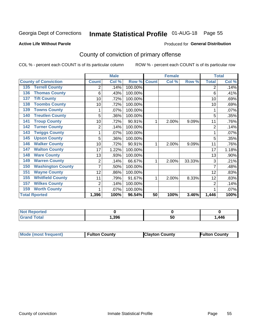## Inmate Statistical Profile 01-AUG-18 Page 55

#### **Active Life Without Parole**

#### Produced for General Distribution

## County of conviction of primary offense

COL % - percent each COUNT is of its particular column

|                                 |                | <b>Male</b> |         |              | <b>Female</b> |        |                | <b>Total</b> |
|---------------------------------|----------------|-------------|---------|--------------|---------------|--------|----------------|--------------|
| <b>County of Conviction</b>     | <b>Count</b>   | Col %       | Row %   | <b>Count</b> | Col %         | Row %  | <b>Total</b>   | Col %        |
| <b>Terrell County</b><br>135    | 2              | .14%        | 100.00% |              |               |        | 2              | .14%         |
| <b>Thomas County</b><br>136     | 6              | .43%        | 100.00% |              |               |        | 6              | .41%         |
| <b>Tift County</b><br>137       | 10             | .72%        | 100.00% |              |               |        | 10             | .69%         |
| <b>Toombs County</b><br>138     | 10             | .72%        | 100.00% |              |               |        | 10             | .69%         |
| <b>Towns County</b><br>139      | 1              | .07%        | 100.00% |              |               |        | 1              | .07%         |
| <b>Treutlen County</b><br>140   | 5              | .36%        | 100.00% |              |               |        | 5              | .35%         |
| <b>Troup County</b><br>141      | 10             | .72%        | 90.91%  | 1            | 2.00%         | 9.09%  | 11             | .76%         |
| <b>Turner County</b><br>142     | $\overline{2}$ | .14%        | 100.00% |              |               |        | $\overline{2}$ | .14%         |
| <b>Twiggs County</b><br>143     |                | .07%        | 100.00% |              |               |        |                | .07%         |
| <b>Upson County</b><br>145      | 5              | .36%        | 100.00% |              |               |        | 5              | .35%         |
| <b>Walker County</b><br>146     | 10             | .72%        | 90.91%  | 1            | 2.00%         | 9.09%  | 11             | .76%         |
| <b>Walton County</b><br>147     | 17             | 1.22%       | 100.00% |              |               |        | 17             | 1.18%        |
| <b>Ware County</b><br>148       | 13             | .93%        | 100.00% |              |               |        | 13             | .90%         |
| <b>Warren County</b><br>149     | 2              | .14%        | 66.67%  | 1            | 2.00%         | 33.33% | 3              | .21%         |
| <b>Washington County</b><br>150 | 7              | .50%        | 100.00% |              |               |        |                | .48%         |
| <b>Wayne County</b><br>151      | 12             | .86%        | 100.00% |              |               |        | 12             | .83%         |
| <b>Whitfield County</b><br>155  | 11             | .79%        | 91.67%  | 1            | 2.00%         | 8.33%  | 12             | .83%         |
| <b>Wilkes County</b><br>157     | 2              | .14%        | 100.00% |              |               |        | 2              | .14%         |
| <b>Worth County</b><br>159      | 1              | .07%        | 100.00% |              |               |        |                | .07%         |
| <b>Total Rported</b>            | 1,396          | 100%        | 96.54%  | 50           | 100%          | 3.46%  | 1,446          | 100%         |

| rteo        |      |    |      |
|-------------|------|----|------|
| $F = 4 - 7$ | .396 | 50 | ,446 |

| Mode (most frequent) | <b>Fulton County</b> | <b>Clayton County</b> | <b>Fulton County</b> |
|----------------------|----------------------|-----------------------|----------------------|
|                      |                      |                       |                      |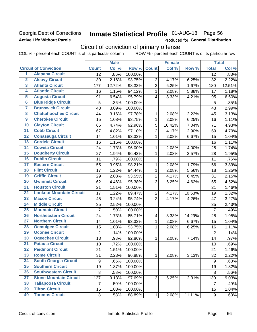### Georgia Dept of Corrections **Active Life Without Parole**

## Inmate Statistical Profile 01-AUG-18 Page 56

Produced for General Distribution

## Circuit of conviction of primary offense

|                         |                                 | <b>Male</b>      |        | <b>Female</b> |                         |        | <b>Total</b> |                |        |
|-------------------------|---------------------------------|------------------|--------|---------------|-------------------------|--------|--------------|----------------|--------|
|                         | <b>Circuit of Conviction</b>    | <b>Count</b>     | Col %  | Row %         | <b>Count</b>            | Col %  | Row %        | <b>Total</b>   | Col %  |
| 1                       | <b>Alapaha Circuit</b>          | 12               | .86%   | 100.00%       |                         |        |              | 12             | .83%   |
| $\overline{2}$          | <b>Alcovy Circuit</b>           | 30               | 2.16%  | 93.75%        | $\overline{2}$          | 4.17%  | 6.25%        | 32             | 2.22%  |
| $\overline{\mathbf{3}}$ | <b>Atlanta Circuit</b>          | 177              | 12.72% | 98.33%        | 3                       | 6.25%  | 1.67%        | 180            | 12.51% |
| 4                       | <b>Atlantic Circuit</b>         | 16               | 1.15%  | 94.12%        | $\mathbf{1}$            | 2.08%  | 5.88%        | 17             | 1.18%  |
| $\overline{5}$          | <b>Augusta Circuit</b>          | 91               | 6.54%  | 95.79%        | $\overline{4}$          | 8.33%  | 4.21%        | 95             | 6.60%  |
| $\overline{6}$          | <b>Blue Ridge Circuit</b>       | 5                | .36%   | 100.00%       |                         |        |              | 5              | .35%   |
| 7                       | <b>Brunswick Circuit</b>        | 43               | 3.09%  | 100.00%       |                         |        |              | 43             | 2.99%  |
| 8                       | <b>Chattahoochee Circuit</b>    | 44               | 3.16%  | 97.78%        | 1                       | 2.08%  | 2.22%        | 45             | 3.13%  |
| $\overline{9}$          | <b>Cherokee Circuit</b>         | 15               | 1.08%  | 93.75%        | 1                       | 2.08%  | 6.25%        | 16             | 1.11%  |
| 10                      | <b>Clayton Circuit</b>          | 66               | 4.74%  | 92.96%        | 5                       | 10.42% | 7.04%        | 71             | 4.93%  |
| $\overline{11}$         | <b>Cobb Circuit</b>             | 67               | 4.82%  | 97.10%        | $\overline{2}$          | 4.17%  | 2.90%        | 69             | 4.79%  |
| $\overline{12}$         | <b>Conasauga Circuit</b>        | 14               | 1.01%  | 93.33%        | $\mathbf{1}$            | 2.08%  | 6.67%        | 15             | 1.04%  |
| $\overline{13}$         | <b>Cordele Circuit</b>          | 16               | 1.15%  | 100.00%       |                         |        |              | 16             | 1.11%  |
| $\overline{14}$         | <b>Coweta Circuit</b>           | 24               | 1.73%  | 96.00%        | $\mathbf{1}$            | 2.08%  | 4.00%        | 25             | 1.74%  |
| $\overline{15}$         | <b>Dougherty Circuit</b>        | 27               | 1.94%  | 96.43%        | $\mathbf{1}$            | 2.08%  | 3.57%        | 28             | 1.95%  |
| 16                      | <b>Dublin Circuit</b>           | 11               | .79%   | 100.00%       |                         |        |              | 11             | .76%   |
| $\overline{17}$         | <b>Eastern Circuit</b>          | 55               | 3.95%  | 98.21%        | 1                       | 2.08%  | 1.79%        | 56             | 3.89%  |
| $\overline{18}$         | <b>Flint Circuit</b>            | 17               | 1.22%  | 94.44%        | $\mathbf{1}$            | 2.08%  | 5.56%        | 18             | 1.25%  |
| 19                      | <b>Griffin Circuit</b>          | 29               | 2.08%  | 93.55%        | $\overline{2}$          | 4.17%  | 6.45%        | 31             | 2.15%  |
| 20                      | <b>Gwinnett Circuit</b>         | 62               | 4.46%  | 95.38%        | 3                       | 6.25%  | 4.62%        | 65             | 4.52%  |
| $\overline{21}$         | <b>Houston Circuit</b>          | 21               | 1.51%  | 100.00%       |                         |        |              | 21             | 1.46%  |
| $\overline{22}$         | <b>Lookout Mountain Circuit</b> | 17               | 1.22%  | 89.47%        | $\overline{2}$          | 4.17%  | 10.53%       | 19             | 1.32%  |
| 23                      | <b>Macon Circuit</b>            | 45               | 3.24%  | 95.74%        | $\overline{2}$          | 4.17%  | 4.26%        | 47             | 3.27%  |
| 24                      | <b>Middle Circuit</b>           | 35               | 2.52%  | 100.00%       |                         |        |              | 35             | 2.43%  |
| $\overline{25}$         | <b>Mountain Circuit</b>         | $\overline{7}$   | .50%   | 100.00%       |                         |        |              | $\overline{7}$ | .49%   |
| 26                      | <b>Northeastern Circuit</b>     | 24               | 1.73%  | 85.71%        | $\overline{\mathbf{4}}$ | 8.33%  | 14.29%       | 28             | 1.95%  |
| $\overline{27}$         | <b>Northern Circuit</b>         | 14               | 1.01%  | 93.33%        | 1                       | 2.08%  | 6.67%        | 15             | 1.04%  |
| 28                      | <b>Ocmulgee Circuit</b>         | 15               | 1.08%  | 93.75%        | 1                       | 2.08%  | 6.25%        | 16             | 1.11%  |
| 29                      | <b>Oconee Circuit</b>           | $\overline{2}$   | .14%   | 100.00%       |                         |        |              | $\overline{2}$ | .14%   |
| 30                      | <b>Ogeechee Circuit</b>         | 13               | .93%   | 92.86%        | 1                       | 2.08%  | 7.14%        | 14             | .97%   |
| $\overline{31}$         | <b>Pataula Circuit</b>          | 10               | .72%   | 100.00%       |                         |        |              | 10             | .69%   |
| 32                      | <b>Piedmont Circuit</b>         | 21               | 1.51%  | 100.00%       |                         |        |              | 21             | 1.46%  |
| 33                      | <b>Rome Circuit</b>             | 31               | 2.23%  | 96.88%        | $\mathbf{1}$            | 2.08%  | 3.13%        | 32             | 2.22%  |
| 34                      | <b>South Georgia Circuit</b>    | $\boldsymbol{9}$ | .65%   | 100.00%       |                         |        |              | 9              | .63%   |
| 35                      | <b>Southern Circuit</b>         | 19               | 1.37%  | 100.00%       |                         |        |              | 19             | 1.32%  |
| 36                      | <b>Southwestern Circuit</b>     | 8                | .58%   | 100.00%       |                         |        |              | 8              | .56%   |
| 37                      | <b>Stone Mountain Circuit</b>   | 127              | 9.13%  | 97.69%        | 3                       | 6.25%  | 2.31%        | 130            | 9.03%  |
| 38                      | <b>Tallapoosa Circuit</b>       | 7                | .50%   | 100.00%       |                         |        |              | $\overline{7}$ | .49%   |
| 39                      | <b>Tifton Circuit</b>           | 15               | 1.08%  | 100.00%       |                         |        |              | 15             | 1.04%  |
| 40                      | <b>Toombs Circuit</b>           | 8                | .58%   | 88.89%        | $\mathbf{1}$            | 2.08%  | 11.11%       | 9              | .63%   |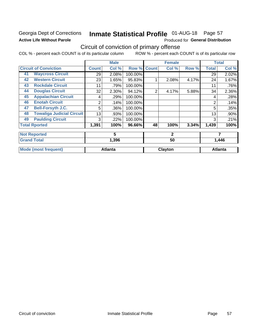### Georgia Dept of Corrections **Active Life Without Parole**

## Inmate Statistical Profile 01-AUG-18 Page 57

Produced for General Distribution

## Circuit of conviction of primary offense

|    |                                  |              | <b>Male</b>    |         |                | <b>Female</b> |       |              | <b>Total</b>   |
|----|----------------------------------|--------------|----------------|---------|----------------|---------------|-------|--------------|----------------|
|    | <b>Circuit of Conviction</b>     | <b>Count</b> | Col %          | Row %   | <b>Count</b>   | Col %         | Row % | <b>Total</b> | Col %          |
| 41 | <b>Waycross Circuit</b>          | 29           | 2.08%          | 100.00% |                |               |       | 29           | 2.02%          |
| 42 | <b>Western Circuit</b>           | 23           | 1.65%          | 95.83%  |                | 2.08%         | 4.17% | 24           | 1.67%          |
| 43 | <b>Rockdale Circuit</b>          | 11           | .79%           | 100.00% |                |               |       | 11           | .76%           |
| 44 | <b>Douglas Circuit</b>           | 32           | 2.30%          | 94.12%  | $\overline{2}$ | 4.17%         | 5.88% | 34           | 2.36%          |
| 45 | <b>Appalachian Circuit</b>       | 4            | .29%           | 100.00% |                |               |       | 4            | .28%           |
| 46 | <b>Enotah Circuit</b>            | 2            | .14%           | 100.00% |                |               |       | 2            | .14%           |
| 47 | <b>Bell-Forsyth J.C.</b>         | 5            | .36%           | 100.00% |                |               |       | 5            | .35%           |
| 48 | <b>Towaliga Judicial Circuit</b> | 13           | .93%           | 100.00% |                |               |       | 13           | .90%           |
| 49 | <b>Paulding Circuit</b>          | 3            | .22%           | 100.00% |                |               |       | 3            | .21%           |
|    | <b>Total Rported</b>             | 1,391        | 100%           | 96.66%  | 48             | 100%          | 3.34% | 1,439        | 100%           |
|    | <b>Not Reported</b>              |              | 5              |         |                | $\mathbf{2}$  |       |              | 7              |
|    | <b>Grand Total</b>               |              | 1,396          |         |                | 50            |       | 1,446        |                |
|    | <b>Mode (most frequent)</b>      |              | <b>Atlanta</b> |         |                | Clayton       |       |              | <b>Atlanta</b> |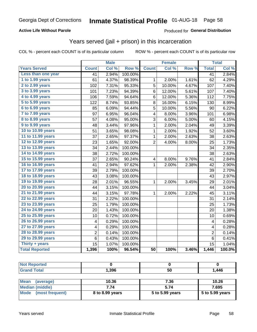#### **Active Life Without Parole**

#### **Produced for General Distribution**

### Years served (jail + prison) in this incarceration

COL % - percent each COUNT is of its particular column

|                       |                 | <b>Male</b> |                  |                 | <b>Female</b> |       | <b>Total</b>    |        |
|-----------------------|-----------------|-------------|------------------|-----------------|---------------|-------|-----------------|--------|
| <b>Years Served</b>   | <b>Count</b>    | Col %       | Row <sup>%</sup> | <b>Count</b>    | Col %         | Row % | <b>Total</b>    | Col %  |
| Less than one year    | $\overline{41}$ | 2.94%       | 100.00%          |                 |               |       | $\overline{41}$ | 2.84%  |
| 1 to 1.99 years       | 61              | 4.37%       | 98.39%           | 1               | 2.00%         | 1.61% | 62              | 4.29%  |
| 2 to 2.99 years       | 102             | 7.31%       | 95.33%           | 5               | 10.00%        | 4.67% | 107             | 7.40%  |
| 3 to 3.99 years       | 101             | 7.23%       | 94.39%           | 6               | 12.00%        | 5.61% | 107             | 7.40%  |
| 4 to 4.99 years       | 106             | 7.59%       | 94.64%           | 6               | 12.00%        | 5.36% | 112             | 7.75%  |
| 5 to 5.99 years       | 122             | 8.74%       | 93.85%           | 8               | 16.00%        | 6.15% | 130             | 8.99%  |
| 6 to 6.99 years       | 85              | 6.09%       | 94.44%           | 5               | 10.00%        | 5.56% | 90              | 6.22%  |
| 7 to 7.99 years       | 97              | 6.95%       | 96.04%           | 4               | 8.00%         | 3.96% | 101             | 6.98%  |
| 8 to 8.99 years       | 57              | 4.08%       | 95.00%           | 3               | 6.00%         | 5.00% | 60              | 4.15%  |
| 9 to 9.99 years       | 48              | 3.44%       | 97.96%           | 1               | 2.00%         | 2.04% | 49              | 3.39%  |
| 10 to 10.99 years     | 51              | 3.65%       | 98.08%           | 1               | 2.00%         | 1.92% | 52              | 3.60%  |
| 11 to 11.99 years     | 37              | 2.65%       | 97.37%           | 1               | 2.00%         | 2.63% | 38              | 2.63%  |
| 12 to 12.99 years     | 23              | 1.65%       | 92.00%           | $\overline{2}$  | 4.00%         | 8.00% | 25              | 1.73%  |
| 13 to 13.99 years     | 34              | 2.44%       | 100.00%          |                 |               |       | 34              | 2.35%  |
| 14 to 14.99 years     | 38              | 2.72%       | 100.00%          |                 |               |       | 38              | 2.63%  |
| 15 to 15.99 years     | 37              | 2.65%       | 90.24%           | 4               | 8.00%         | 9.76% | 41              | 2.84%  |
| 16 to 16.99 years     | 41              | 2.94%       | 97.62%           | 1               | 2.00%         | 2.38% | 42              | 2.90%  |
| 17 to 17.99 years     | 39              | 2.79%       | 100.00%          |                 |               |       | 39              | 2.70%  |
| 18 to 18.99 years     | 43              | 3.08%       | 100.00%          |                 |               |       | 43              | 2.97%  |
| 19 to 19.99 years     | 28              | 2.01%       | 96.55%           | 1               | 2.00%         | 3.45% | 29              | 2.01%  |
| 20 to 20.99 years     | 44              | 3.15%       | 100.00%          |                 |               |       | 44              | 3.04%  |
| 21 to 21.99 years     | 44              | 3.15%       | 97.78%           | 1               | 2.00%         | 2.22% | 45              | 3.11%  |
| 22 to 22.99 years     | 31              | 2.22%       | 100.00%          |                 |               |       | 31              | 2.14%  |
| 23 to 23.99 years     | 25              | 1.79%       | 100.00%          |                 |               |       | 25              | 1.73%  |
| 24 to 24.99 years     | 20              | 1.43%       | 100.00%          |                 |               |       | 20              | 1.38%  |
| 25 to 25.99 years     | 10              | 0.72%       | 100.00%          |                 |               |       | 10              | 0.69%  |
| 26 to 26.99 years     | 4               | 0.29%       | 100.00%          |                 |               |       | 4               | 0.28%  |
| 27 to 27.99 years     | 4               | 0.29%       | 100.00%          |                 |               |       | 4               | 0.28%  |
| 28 to 28.99 years     | $\overline{c}$  | 0.14%       | 100.00%          |                 |               |       | 2               | 0.14%  |
| 29 to 29.99 years     | 6               | 0.43%       | 100.00%          |                 |               |       | $\,6$           | 0.41%  |
| Thirty + years        | 15              | 1.07%       | 100.00%          |                 |               |       | 15              | 1.04%  |
| <b>Total Reported</b> | 1,396           | 100%        | 96.54%           | $\overline{50}$ | 100%          | 3.46% | 1,446           | 100.0% |

| <b>Not Reported</b> |       |     |       |
|---------------------|-------|-----|-------|
| <b>Grand Total</b>  | 1,396 | 50  | 1,446 |
|                     | ___   | ___ | ___   |

| Mean<br>(average)    | 10.36           | 7.36            | 10.26           |
|----------------------|-----------------|-----------------|-----------------|
| Median (middle)      | 7.74            | 5.74            | 7.695           |
| Mode (most frequent) | 8 to 8.99 years | 5 to 5.99 years | 5 to 5.99 years |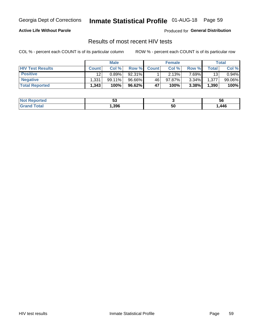## Inmate Statistical Profile 01-AUG-18 Page 59

#### **Active Life Without Parole**

Produced for General Distribution

### Results of most recent HIV tests

COL % - percent each COUNT is of its particular column

|                         |                    | <b>Male</b> |        |              | <b>Female</b> |          |       | Total  |
|-------------------------|--------------------|-------------|--------|--------------|---------------|----------|-------|--------|
| <b>HIV Test Results</b> | <b>Count</b>       | Col %       | Row %I | <b>Count</b> | Col %         | Row %    | Total | Col %  |
| <b>Positive</b>         | 12                 | 0.89%       | 92.31% |              | 2.13%         | 7.69%∎   | 13    | 0.94%  |
| <b>Negative</b>         | .331               | $99.11\%$   | 96.66% | 46           | $97.87\%$     | $3.34\%$ | 1,377 | 99.06% |
| <b>Total Reported</b>   | $.343$ $^{\prime}$ | 100%        | 96.62% | 47           | 100%          | 3.38%    | 1,390 | 100%   |

| <b>Not Reported</b>         | JJ   |    | Эq   |
|-----------------------------|------|----|------|
| <b>Total</b><br><b>Grot</b> | ,396 | 50 | ,446 |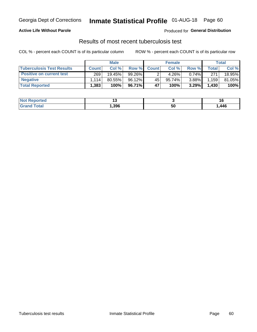## Georgia Dept of Corrections **Inmate Statistical Profile** 01-AUG-18 Page 60

#### **Active Life Without Parole**

Produced for **General Distribution**

### Results of most recent tuberculosis test

|                                  |                    | <b>Male</b> |          |              | <b>Female</b> |          |              | Total  |
|----------------------------------|--------------------|-------------|----------|--------------|---------------|----------|--------------|--------|
| <b>Tuberculosis Test Results</b> | <b>Count</b>       | Col%        | Row %I   | <b>Count</b> | Col %         | Row %I   | <b>Total</b> | Col %  |
| <b>Positive on current test</b>  | 269                | 19.45%      | 99.26%   |              | 4.26%         | $0.74\%$ | 271          | 18.95% |
| <b>Negative</b>                  | 114                | 80.55%      | 96.12%   | 45           | 95.74%।       | $3.88\%$ | 1,159        | 81.05% |
| <b>Total Reported</b>            | $.383$ $^{\prime}$ | 100%        | 96.71% I | 47           | 100%          | 3.29%    | 1,430        | 100%   |

| <b>Not Reported</b>              |      |    |      |
|----------------------------------|------|----|------|
| <b>Total</b><br>Gra <sup>r</sup> | .396 | ວບ | ,446 |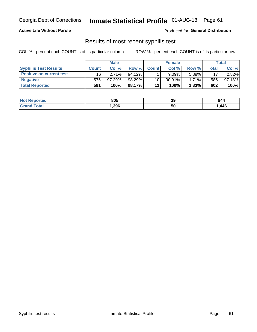## Georgia Dept of Corrections **Inmate Statistical Profile** 01-AUG-18 Page 61

#### **Active Life Without Parole**

Produced for **General Distribution**

### Results of most recent syphilis test

|                                 |              | <b>Male</b> |           |                 | <b>Female</b> |              |       | Total  |
|---------------------------------|--------------|-------------|-----------|-----------------|---------------|--------------|-------|--------|
| <b>Syphilis Test Results</b>    | <b>Count</b> | Col%        | Row %     | <b>Count</b>    | Col %         | <b>Row %</b> | Total | Col %  |
| <b>Positive on current test</b> | 16           | 2.71%       | $94.12\%$ |                 | 9.09%         | 5.88%        | 17    | 2.82%  |
| <b>Negative</b>                 | 575          | $97.29\%$   | 98.29%    | 10 <sup>1</sup> | $90.91\%$     | $1.71\%$     | 585   | 97.18% |
| <b>Total Reported</b>           | 591          | 100%        | 98.17%    | 11              | 100%          | 1.83%        | 602   | 100%   |

| <b>Not Reported</b> | 805  | 39 | 844  |
|---------------------|------|----|------|
| <b>Grand Total</b>  | ,396 | 50 | ,446 |